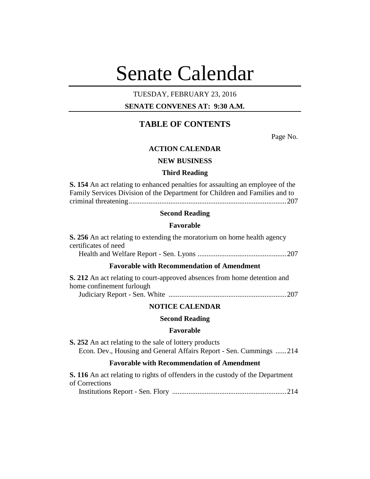# Senate Calendar

# TUESDAY, FEBRUARY 23, 2016

# **SENATE CONVENES AT: 9:30 A.M.**

# **TABLE OF CONTENTS**

Page No.

#### **ACTION CALENDAR**

#### **NEW BUSINESS**

#### **Third Reading**

**S. 154** An act relating to enhanced penalties for assaulting an employee of the Family Services Division of the Department for Children and Families and to criminal threatening.......................................................................................207

#### **Second Reading**

#### **Favorable**

**S. 256** An act relating to extending the moratorium on home health agency certificates of need Health and Welfare Report - Sen. Lyons .................................................207 **Favorable with Recommendation of Amendment**

| <b>S. 212</b> An act relating to court-approved absences from home detention and |  |
|----------------------------------------------------------------------------------|--|
| home confinement furlough                                                        |  |
|                                                                                  |  |

# **NOTICE CALENDAR**

# **Second Reading**

#### **Favorable**

**S. 252** An act relating to the sale of lottery products Econ. Dev., Housing and General Affairs Report - Sen. Cummings ......214

# **Favorable with Recommendation of Amendment**

| <b>S. 116</b> An act relating to rights of offenders in the custody of the Department |  |
|---------------------------------------------------------------------------------------|--|
| of Corrections                                                                        |  |
|                                                                                       |  |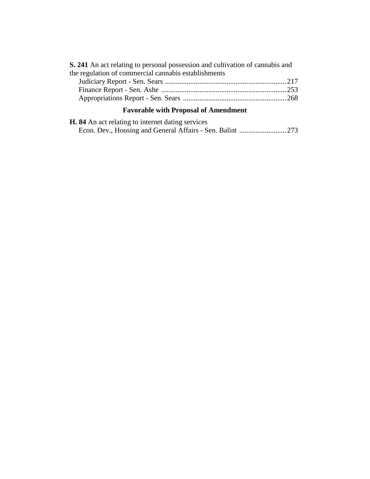| <b>S. 241</b> An act relating to personal possession and cultivation of cannabis and |
|--------------------------------------------------------------------------------------|
| the regulation of commercial cannabis establishments                                 |

# **Favorable with Proposal of Amendment**

| <b>H.</b> 84 An act relating to internet dating services |  |
|----------------------------------------------------------|--|
|                                                          |  |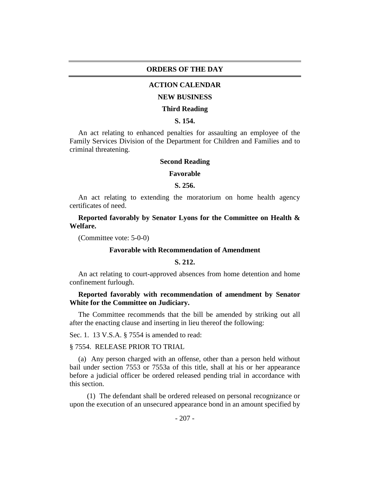#### **ORDERS OF THE DAY**

#### **ACTION CALENDAR**

#### **NEW BUSINESS**

#### **Third Reading**

# **S. 154.**

An act relating to enhanced penalties for assaulting an employee of the Family Services Division of the Department for Children and Families and to criminal threatening.

#### **Second Reading**

#### **Favorable**

#### **S. 256.**

An act relating to extending the moratorium on home health agency certificates of need.

**Reported favorably by Senator Lyons for the Committee on Health & Welfare.**

(Committee vote: 5-0-0)

#### **Favorable with Recommendation of Amendment**

#### **S. 212.**

An act relating to court-approved absences from home detention and home confinement furlough.

# **Reported favorably with recommendation of amendment by Senator White for the Committee on Judiciary.**

The Committee recommends that the bill be amended by striking out all after the enacting clause and inserting in lieu thereof the following:

Sec. 1. 13 V.S.A. § 7554 is amended to read:

#### § 7554. RELEASE PRIOR TO TRIAL

(a) Any person charged with an offense, other than a person held without bail under section 7553 or 7553a of this title, shall at his or her appearance before a judicial officer be ordered released pending trial in accordance with this section.

(1) The defendant shall be ordered released on personal recognizance or upon the execution of an unsecured appearance bond in an amount specified by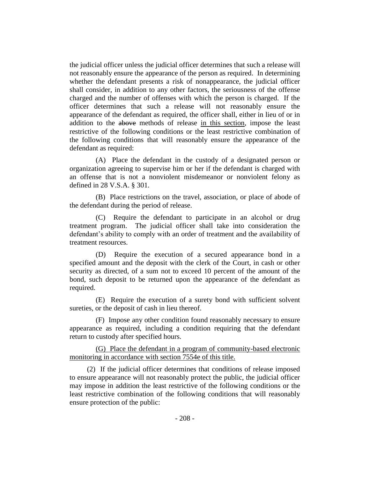the judicial officer unless the judicial officer determines that such a release will not reasonably ensure the appearance of the person as required. In determining whether the defendant presents a risk of nonappearance, the judicial officer shall consider, in addition to any other factors, the seriousness of the offense charged and the number of offenses with which the person is charged. If the officer determines that such a release will not reasonably ensure the appearance of the defendant as required, the officer shall, either in lieu of or in addition to the above methods of release in this section, impose the least restrictive of the following conditions or the least restrictive combination of the following conditions that will reasonably ensure the appearance of the defendant as required:

(A) Place the defendant in the custody of a designated person or organization agreeing to supervise him or her if the defendant is charged with an offense that is not a nonviolent misdemeanor or nonviolent felony as defined in 28 V.S.A. § 301.

(B) Place restrictions on the travel, association, or place of abode of the defendant during the period of release.

(C) Require the defendant to participate in an alcohol or drug treatment program. The judicial officer shall take into consideration the defendant's ability to comply with an order of treatment and the availability of treatment resources.

(D) Require the execution of a secured appearance bond in a specified amount and the deposit with the clerk of the Court, in cash or other security as directed, of a sum not to exceed 10 percent of the amount of the bond, such deposit to be returned upon the appearance of the defendant as required.

(E) Require the execution of a surety bond with sufficient solvent sureties, or the deposit of cash in lieu thereof.

(F) Impose any other condition found reasonably necessary to ensure appearance as required, including a condition requiring that the defendant return to custody after specified hours.

(G) Place the defendant in a program of community-based electronic monitoring in accordance with section 7554e of this title.

(2) If the judicial officer determines that conditions of release imposed to ensure appearance will not reasonably protect the public, the judicial officer may impose in addition the least restrictive of the following conditions or the least restrictive combination of the following conditions that will reasonably ensure protection of the public: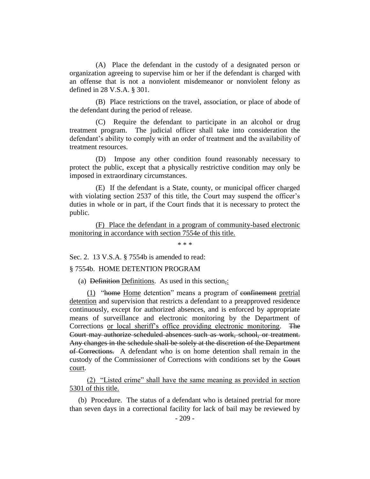(A) Place the defendant in the custody of a designated person or organization agreeing to supervise him or her if the defendant is charged with an offense that is not a nonviolent misdemeanor or nonviolent felony as defined in 28 V.S.A. § 301.

(B) Place restrictions on the travel, association, or place of abode of the defendant during the period of release.

(C) Require the defendant to participate in an alcohol or drug treatment program. The judicial officer shall take into consideration the defendant's ability to comply with an order of treatment and the availability of treatment resources.

(D) Impose any other condition found reasonably necessary to protect the public, except that a physically restrictive condition may only be imposed in extraordinary circumstances.

(E) If the defendant is a State, county, or municipal officer charged with violating section 2537 of this title, the Court may suspend the officer's duties in whole or in part, if the Court finds that it is necessary to protect the public.

(F) Place the defendant in a program of community-based electronic monitoring in accordance with section 7554e of this title.

\* \* \*

Sec. 2. 13 V.S.A. § 7554b is amended to read:

#### § 7554b. HOME DETENTION PROGRAM

(a) Definition Definitions. As used in this section,:

(1) "home Home detention" means a program of confinement pretrial detention and supervision that restricts a defendant to a preapproved residence continuously, except for authorized absences, and is enforced by appropriate means of surveillance and electronic monitoring by the Department of Corrections or local sheriff's office providing electronic monitoring. The Court may authorize scheduled absences such as work, school, or treatment. Any changes in the schedule shall be solely at the discretion of the Department of Corrections. A defendant who is on home detention shall remain in the custody of the Commissioner of Corrections with conditions set by the Court court.

(2) "Listed crime" shall have the same meaning as provided in section 5301 of this title.

(b) Procedure. The status of a defendant who is detained pretrial for more than seven days in a correctional facility for lack of bail may be reviewed by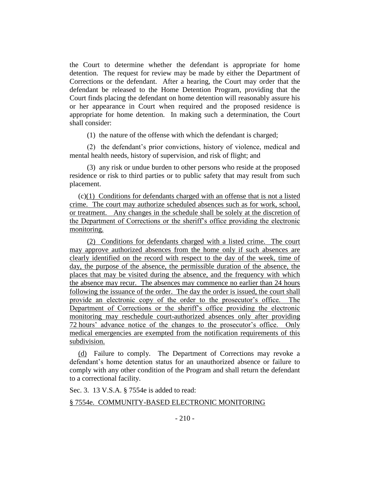the Court to determine whether the defendant is appropriate for home detention. The request for review may be made by either the Department of Corrections or the defendant. After a hearing, the Court may order that the defendant be released to the Home Detention Program, providing that the Court finds placing the defendant on home detention will reasonably assure his or her appearance in Court when required and the proposed residence is appropriate for home detention. In making such a determination, the Court shall consider:

(1) the nature of the offense with which the defendant is charged;

(2) the defendant's prior convictions, history of violence, medical and mental health needs, history of supervision, and risk of flight; and

(3) any risk or undue burden to other persons who reside at the proposed residence or risk to third parties or to public safety that may result from such placement.

(c)(1) Conditions for defendants charged with an offense that is not a listed crime. The court may authorize scheduled absences such as for work, school, or treatment. Any changes in the schedule shall be solely at the discretion of the Department of Corrections or the sheriff's office providing the electronic monitoring.

(2) Conditions for defendants charged with a listed crime. The court may approve authorized absences from the home only if such absences are clearly identified on the record with respect to the day of the week, time of day, the purpose of the absence, the permissible duration of the absence, the places that may be visited during the absence, and the frequency with which the absence may recur. The absences may commence no earlier than 24 hours following the issuance of the order. The day the order is issued, the court shall provide an electronic copy of the order to the prosecutor's office. The Department of Corrections or the sheriff's office providing the electronic monitoring may reschedule court-authorized absences only after providing 72 hours' advance notice of the changes to the prosecutor's office. Only medical emergencies are exempted from the notification requirements of this subdivision.

(d) Failure to comply. The Department of Corrections may revoke a defendant's home detention status for an unauthorized absence or failure to comply with any other condition of the Program and shall return the defendant to a correctional facility.

Sec. 3. 13 V.S.A. § 7554e is added to read:

#### § 7554e. COMMUNITY-BASED ELECTRONIC MONITORING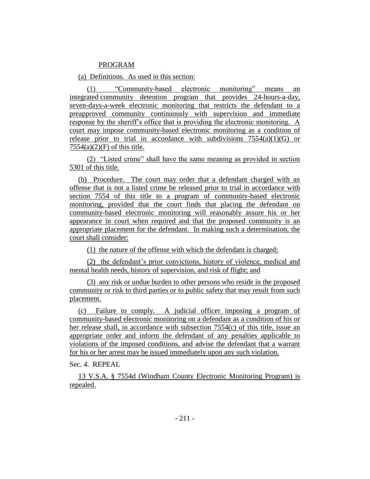#### PROGRAM

(a) Definitions. As used in this section:

(1) "Community-based electronic monitoring" means an integrated community detention program that provides 24-hours-a-day, seven-days-a-week electronic monitoring that restricts the defendant to a preapproved community continuously with supervision and immediate response by the sheriff's office that is providing the electronic monitoring. A court may impose community-based electronic monitoring as a condition of release prior to trial in accordance with subdivisions  $7554(a)(1)(G)$  or  $7554(a)(2)(F)$  of this title.

(2) "Listed crime" shall have the same meaning as provided in section 5301 of this title.

(b) Procedure. The court may order that a defendant charged with an offense that is not a listed crime be released prior to trial in accordance with section 7554 of this title to a program of community-based electronic monitoring, provided that the court finds that placing the defendant on community-based electronic monitoring will reasonably assure his or her appearance in court when required and that the proposed community is an appropriate placement for the defendant. In making such a determination, the court shall consider:

(1) the nature of the offense with which the defendant is charged;

(2) the defendant's prior convictions, history of violence, medical and mental health needs, history of supervision, and risk of flight; and

(3) any risk or undue burden to other persons who reside in the proposed community or risk to third parties or to public safety that may result from such placement.

(c) Failure to comply. A judicial officer imposing a program of community-based electronic monitoring on a defendant as a condition of his or her release shall, in accordance with subsection 7554(c) of this title, issue an appropriate order and inform the defendant of any penalties applicable to violations of the imposed conditions, and advise the defendant that a warrant for his or her arrest may be issued immediately upon any such violation.

Sec. 4. REPEAL.

13 V.S.A. § 7554d (Windham County Electronic Monitoring Program) is repealed.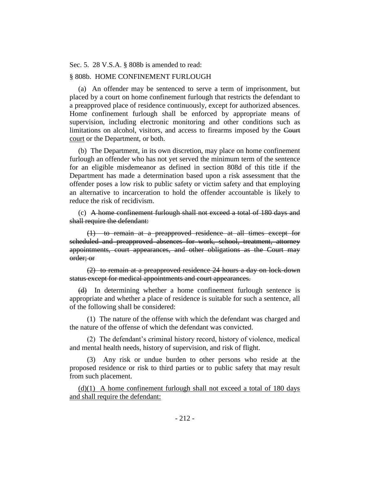Sec. 5. 28 V.S.A. § 808b is amended to read:

#### § 808b. HOME CONFINEMENT FURLOUGH

(a) An offender may be sentenced to serve a term of imprisonment, but placed by a court on home confinement furlough that restricts the defendant to a preapproved place of residence continuously, except for authorized absences. Home confinement furlough shall be enforced by appropriate means of supervision, including electronic monitoring and other conditions such as limitations on alcohol, visitors, and access to firearms imposed by the Court court or the Department, or both.

(b) The Department, in its own discretion, may place on home confinement furlough an offender who has not yet served the minimum term of the sentence for an eligible misdemeanor as defined in section 808d of this title if the Department has made a determination based upon a risk assessment that the offender poses a low risk to public safety or victim safety and that employing an alternative to incarceration to hold the offender accountable is likely to reduce the risk of recidivism.

(c) A home confinement furlough shall not exceed a total of 180 days and shall require the defendant:

(1) to remain at a preapproved residence at all times except for scheduled and preapproved absences for work, school, treatment, attorney appointments, court appearances, and other obligations as the Court may order; or

(2) to remain at a preapproved residence 24 hours a day on lock-down status except for medical appointments and court appearances.

(d) In determining whether a home confinement furlough sentence is appropriate and whether a place of residence is suitable for such a sentence, all of the following shall be considered:

(1) The nature of the offense with which the defendant was charged and the nature of the offense of which the defendant was convicted.

(2) The defendant's criminal history record, history of violence, medical and mental health needs, history of supervision, and risk of flight.

(3) Any risk or undue burden to other persons who reside at the proposed residence or risk to third parties or to public safety that may result from such placement.

 $(d)(1)$  A home confinement furlough shall not exceed a total of 180 days and shall require the defendant: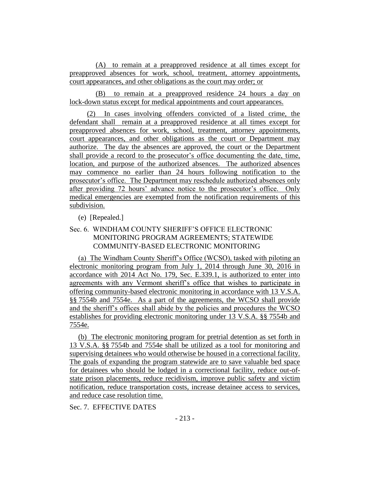(A) to remain at a preapproved residence at all times except for preapproved absences for work, school, treatment, attorney appointments, court appearances, and other obligations as the court may order; or

(B) to remain at a preapproved residence 24 hours a day on lock-down status except for medical appointments and court appearances.

(2) In cases involving offenders convicted of a listed crime, the defendant shall remain at a preapproved residence at all times except for preapproved absences for work, school, treatment, attorney appointments, court appearances, and other obligations as the court or Department may authorize. The day the absences are approved, the court or the Department shall provide a record to the prosecutor's office documenting the date, time, location, and purpose of the authorized absences. The authorized absences may commence no earlier than 24 hours following notification to the prosecutor's office. The Department may reschedule authorized absences only after providing 72 hours' advance notice to the prosecutor's office. Only medical emergencies are exempted from the notification requirements of this subdivision.

# (e) [Repealed.]

# Sec. 6. WINDHAM COUNTY SHERIFF'S OFFICE ELECTRONIC MONITORING PROGRAM AGREEMENTS; STATEWIDE COMMUNITY-BASED ELECTRONIC MONITORING

(a) The Windham County Sheriff's Office (WCSO), tasked with piloting an electronic monitoring program from July 1, 2014 through June 30, 2016 in accordance with 2014 Act No. 179, Sec. E.339.1, is authorized to enter into agreements with any Vermont sheriff's office that wishes to participate in offering community-based electronic monitoring in accordance with 13 V.S.A. §§ 7554b and 7554e. As a part of the agreements, the WCSO shall provide and the sheriff's offices shall abide by the policies and procedures the WCSO establishes for providing electronic monitoring under 13 V.S.A. §§ 7554b and 7554e.

(b) The electronic monitoring program for pretrial detention as set forth in 13 V.S.A. §§ 7554b and 7554e shall be utilized as a tool for monitoring and supervising detainees who would otherwise be housed in a correctional facility. The goals of expanding the program statewide are to save valuable bed space for detainees who should be lodged in a correctional facility, reduce out-ofstate prison placements, reduce recidivism, improve public safety and victim notification, reduce transportation costs, increase detainee access to services, and reduce case resolution time.

Sec. 7. EFFECTIVE DATES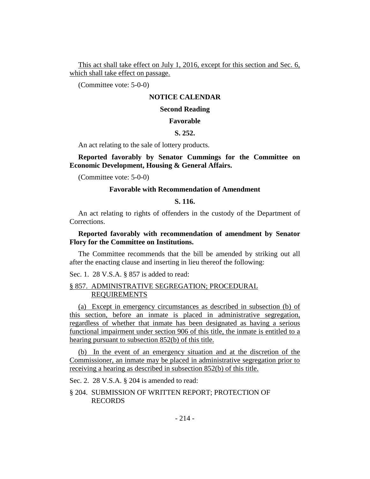This act shall take effect on July 1, 2016, except for this section and Sec. 6, which shall take effect on passage.

(Committee vote: 5-0-0)

#### **NOTICE CALENDAR**

# **Second Reading**

#### **Favorable**

#### **S. 252.**

An act relating to the sale of lottery products.

**Reported favorably by Senator Cummings for the Committee on Economic Development, Housing & General Affairs.**

(Committee vote: 5-0-0)

#### **Favorable with Recommendation of Amendment**

#### **S. 116.**

An act relating to rights of offenders in the custody of the Department of Corrections.

# **Reported favorably with recommendation of amendment by Senator Flory for the Committee on Institutions.**

The Committee recommends that the bill be amended by striking out all after the enacting clause and inserting in lieu thereof the following:

Sec. 1. 28 V.S.A. § 857 is added to read:

#### § 857. ADMINISTRATIVE SEGREGATION; PROCEDURAL REQUIREMENTS

(a) Except in emergency circumstances as described in subsection (b) of this section, before an inmate is placed in administrative segregation, regardless of whether that inmate has been designated as having a serious functional impairment under section 906 of this title, the inmate is entitled to a hearing pursuant to subsection 852(b) of this title.

(b) In the event of an emergency situation and at the discretion of the Commissioner, an inmate may be placed in administrative segregation prior to receiving a hearing as described in subsection 852(b) of this title.

Sec. 2. 28 V.S.A. § 204 is amended to read:

§ 204. SUBMISSION OF WRITTEN REPORT; PROTECTION OF RECORDS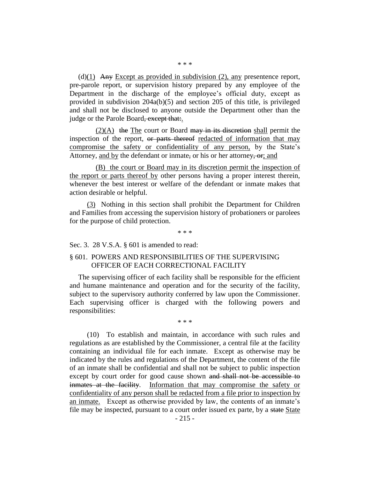(d)(1) Any Except as provided in subdivision (2), any presentence report, pre-parole report, or supervision history prepared by any employee of the Department in the discharge of the employee's official duty, except as provided in subdivision 204a(b)(5) and section 205 of this title, is privileged and shall not be disclosed to anyone outside the Department other than the judge or the Parole Board, except that:.

 $(2)(A)$  the The court or Board may in its discretion shall permit the inspection of the report, or parts thereof redacted of information that may compromise the safety or confidentiality of any person, by the State's Attorney, and by the defendant or inmate, or his or her attorney, or, and

(B) the court or Board may in its discretion permit the inspection of the report or parts thereof by other persons having a proper interest therein, whenever the best interest or welfare of the defendant or inmate makes that action desirable or helpful.

(3) Nothing in this section shall prohibit the Department for Children and Families from accessing the supervision history of probationers or parolees for the purpose of child protection.

\* \* \*

Sec. 3. 28 V.S.A. § 601 is amended to read:

# § 601. POWERS AND RESPONSIBILITIES OF THE SUPERVISING OFFICER OF EACH CORRECTIONAL FACILITY

The supervising officer of each facility shall be responsible for the efficient and humane maintenance and operation and for the security of the facility, subject to the supervisory authority conferred by law upon the Commissioner. Each supervising officer is charged with the following powers and responsibilities:

\* \* \*

(10) To establish and maintain, in accordance with such rules and regulations as are established by the Commissioner, a central file at the facility containing an individual file for each inmate. Except as otherwise may be indicated by the rules and regulations of the Department, the content of the file of an inmate shall be confidential and shall not be subject to public inspection except by court order for good cause shown and shall not be accessible to inmates at the facility. Information that may compromise the safety or confidentiality of any person shall be redacted from a file prior to inspection by an inmate. Except as otherwise provided by law, the contents of an inmate's file may be inspected, pursuant to a court order issued ex parte, by a state State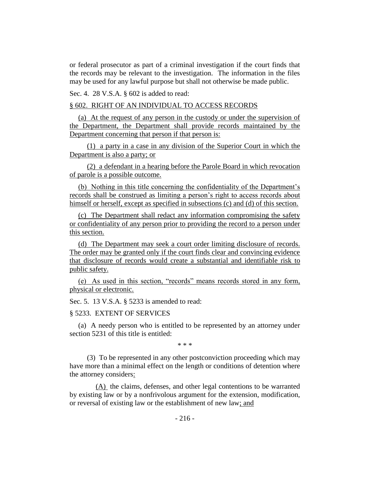or federal prosecutor as part of a criminal investigation if the court finds that the records may be relevant to the investigation. The information in the files may be used for any lawful purpose but shall not otherwise be made public.

Sec. 4. 28 V.S.A. § 602 is added to read:

#### § 602. RIGHT OF AN INDIVIDUAL TO ACCESS RECORDS

(a) At the request of any person in the custody or under the supervision of the Department, the Department shall provide records maintained by the Department concerning that person if that person is:

(1) a party in a case in any division of the Superior Court in which the Department is also a party; or

(2) a defendant in a hearing before the Parole Board in which revocation of parole is a possible outcome.

(b) Nothing in this title concerning the confidentiality of the Department's records shall be construed as limiting a person's right to access records about himself or herself, except as specified in subsections (c) and (d) of this section.

(c) The Department shall redact any information compromising the safety or confidentiality of any person prior to providing the record to a person under this section.

(d) The Department may seek a court order limiting disclosure of records. The order may be granted only if the court finds clear and convincing evidence that disclosure of records would create a substantial and identifiable risk to public safety.

(e) As used in this section, "records" means records stored in any form, physical or electronic.

Sec. 5. 13 V.S.A. § 5233 is amended to read:

#### § 5233. EXTENT OF SERVICES

(a) A needy person who is entitled to be represented by an attorney under section 5231 of this title is entitled:

\* \* \*

(3) To be represented in any other postconviction proceeding which may have more than a minimal effect on the length or conditions of detention where the attorney considers:

(A) the claims, defenses, and other legal contentions to be warranted by existing law or by a nonfrivolous argument for the extension, modification, or reversal of existing law or the establishment of new law; and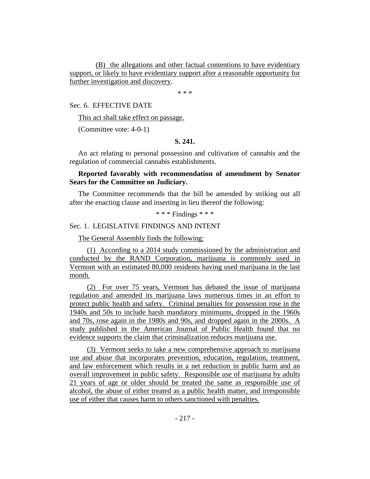(B) the allegations and other factual contentions to have evidentiary support, or likely to have evidentiary support after a reasonable opportunity for further investigation and discovery.

\* \* \*

Sec. 6. EFFECTIVE DATE

This act shall take effect on passage.

(Committee vote: 4-0-1)

#### **S. 241.**

An act relating to personal possession and cultivation of cannabis and the regulation of commercial cannabis establishments.

# **Reported favorably with recommendation of amendment by Senator Sears for the Committee on Judiciary.**

The Committee recommends that the bill be amended by striking out all after the enacting clause and inserting in lieu thereof the following:

\* \* \* Findings \* \* \*

#### Sec. 1. LEGISLATIVE FINDINGS AND INTENT

The General Assembly finds the following:

(1) According to a 2014 study commissioned by the administration and conducted by the RAND Corporation, marijuana is commonly used in Vermont with an estimated 80,000 residents having used marijuana in the last month.

(2) For over 75 years, Vermont has debated the issue of marijuana regulation and amended its marijuana laws numerous times in an effort to protect public health and safety. Criminal penalties for possession rose in the 1940s and 50s to include harsh mandatory minimums, dropped in the 1960s and 70s, rose again in the 1980s and 90s, and dropped again in the 2000s. A study published in the American Journal of Public Health found that no evidence supports the claim that criminalization reduces marijuana use.

(3) Vermont seeks to take a new comprehensive approach to marijuana use and abuse that incorporates prevention, education, regulation, treatment, and law enforcement which results in a net reduction in public harm and an overall improvement in public safety. Responsible use of marijuana by adults 21 years of age or older should be treated the same as responsible use of alcohol, the abuse of either treated as a public health matter, and irresponsible use of either that causes harm to others sanctioned with penalties.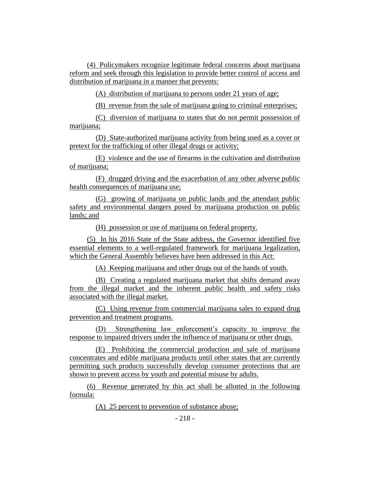(4) Policymakers recognize legitimate federal concerns about marijuana reform and seek through this legislation to provide better control of access and distribution of marijuana in a manner that prevents:

(A) distribution of marijuana to persons under 21 years of age;

(B) revenue from the sale of marijuana going to criminal enterprises;

(C) diversion of marijuana to states that do not permit possession of marijuana;

(D) State-authorized marijuana activity from being used as a cover or pretext for the trafficking of other illegal drugs or activity;

(E) violence and the use of firearms in the cultivation and distribution of marijuana;

(F) drugged driving and the exacerbation of any other adverse public health consequences of marijuana use;

(G) growing of marijuana on public lands and the attendant public safety and environmental dangers posed by marijuana production on public lands; and

(H) possession or use of marijuana on federal property.

(5) In his 2016 State of the State address, the Governor identified five essential elements to a well-regulated framework for marijuana legalization, which the General Assembly believes have been addressed in this Act:

(A) Keeping marijuana and other drugs out of the hands of youth.

(B) Creating a regulated marijuana market that shifts demand away from the illegal market and the inherent public health and safety risks associated with the illegal market.

(C) Using revenue from commercial marijuana sales to expand drug prevention and treatment programs.

(D) Strengthening law enforcement's capacity to improve the response to impaired drivers under the influence of marijuana or other drugs.

(E) Prohibiting the commercial production and sale of marijuana concentrates and edible marijuana products until other states that are currently permitting such products successfully develop consumer protections that are shown to prevent access by youth and potential misuse by adults.

(6) Revenue generated by this act shall be allotted in the following formula:

(A) 25 percent to prevention of substance abuse;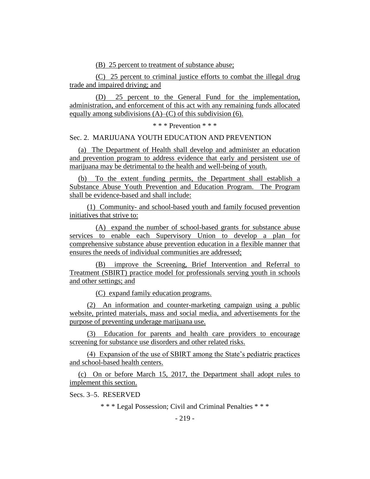(B) 25 percent to treatment of substance abuse;

(C) 25 percent to criminal justice efforts to combat the illegal drug trade and impaired driving; and

(D) 25 percent to the General Fund for the implementation, administration, and enforcement of this act with any remaining funds allocated equally among subdivisions  $(A)$ – $(C)$  of this subdivision (6).

\* \* \* Prevention \* \* \*

#### Sec. 2. MARIJUANA YOUTH EDUCATION AND PREVENTION

(a) The Department of Health shall develop and administer an education and prevention program to address evidence that early and persistent use of marijuana may be detrimental to the health and well-being of youth.

(b) To the extent funding permits, the Department shall establish a Substance Abuse Youth Prevention and Education Program. The Program shall be evidence-based and shall include:

(1) Community- and school-based youth and family focused prevention initiatives that strive to:

(A) expand the number of school-based grants for substance abuse services to enable each Supervisory Union to develop a plan for comprehensive substance abuse prevention education in a flexible manner that ensures the needs of individual communities are addressed;

(B) improve the Screening, Brief Intervention and Referral to Treatment (SBIRT) practice model for professionals serving youth in schools and other settings; and

(C) expand family education programs.

(2) An information and counter-marketing campaign using a public website, printed materials, mass and social media, and advertisements for the purpose of preventing underage marijuana use.

(3) Education for parents and health care providers to encourage screening for substance use disorders and other related risks.

(4) Expansion of the use of SBIRT among the State's pediatric practices and school-based health centers.

(c) On or before March 15, 2017, the Department shall adopt rules to implement this section.

Secs. 3–5. RESERVED

\* \* \* Legal Possession; Civil and Criminal Penalties \* \* \*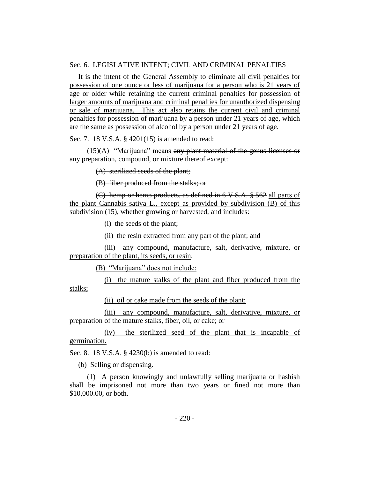# Sec. 6. LEGISLATIVE INTENT; CIVIL AND CRIMINAL PENALTIES

It is the intent of the General Assembly to eliminate all civil penalties for possession of one ounce or less of marijuana for a person who is 21 years of age or older while retaining the current criminal penalties for possession of larger amounts of marijuana and criminal penalties for unauthorized dispensing or sale of marijuana. This act also retains the current civil and criminal penalties for possession of marijuana by a person under 21 years of age, which are the same as possession of alcohol by a person under 21 years of age.

Sec. 7. 18 V.S.A. § 4201(15) is amended to read:

 $(15)(A)$  "Marijuana" means any plant material of the genus licenses or any preparation, compound, or mixture thereof except:

(A) sterilized seeds of the plant;

(B) fiber produced from the stalks; or

(C) hemp or hemp products, as defined in 6 V.S.A. § 562 all parts of the plant Cannabis sativa L., except as provided by subdivision (B) of this subdivision (15), whether growing or harvested, and includes:

(i) the seeds of the plant;

(ii) the resin extracted from any part of the plant; and

(iii) any compound, manufacture, salt, derivative, mixture, or preparation of the plant, its seeds, or resin.

(B) "Marijuana" does not include:

(i) the mature stalks of the plant and fiber produced from the stalks;

(ii) oil or cake made from the seeds of the plant;

(iii) any compound, manufacture, salt, derivative, mixture, or preparation of the mature stalks, fiber, oil, or cake; or

(iv) the sterilized seed of the plant that is incapable of germination.

Sec. 8. 18 V.S.A. § 4230(b) is amended to read:

(b) Selling or dispensing.

(1) A person knowingly and unlawfully selling marijuana or hashish shall be imprisoned not more than two years or fined not more than \$10,000.00, or both.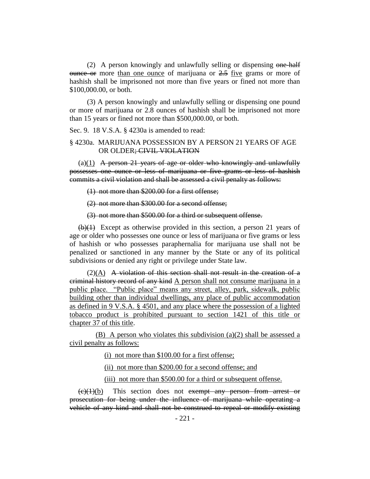(2) A person knowingly and unlawfully selling or dispensing one-half  $\theta$  ounce or more than one ounce of marijuana or  $2.5$  five grams or more of hashish shall be imprisoned not more than five years or fined not more than \$100,000.00, or both.

(3) A person knowingly and unlawfully selling or dispensing one pound or more of marijuana or 2.8 ounces of hashish shall be imprisoned not more than 15 years or fined not more than \$500,000.00, or both.

Sec. 9. 18 V.S.A. § 4230a is amended to read:

#### § 4230a. MARIJUANA POSSESSION BY A PERSON 21 YEARS OF AGE OR OLDER; CIVIL VIOLATION

 $(a)(1)$  A person 21 years of age or older who knowingly and unlawfully possesses one ounce or less of marijuana or five grams or less of hashish commits a civil violation and shall be assessed a civil penalty as follows:

(1) not more than \$200.00 for a first offense;

(2) not more than \$300.00 for a second offense;

(3) not more than \$500.00 for a third or subsequent offense.

 $(b)(1)$  Except as otherwise provided in this section, a person 21 years of age or older who possesses one ounce or less of marijuana or five grams or less of hashish or who possesses paraphernalia for marijuana use shall not be penalized or sanctioned in any manner by the State or any of its political subdivisions or denied any right or privilege under State law.

 $(2)(A)$  A violation of this section shall not result in the creation of a criminal history record of any kind A person shall not consume marijuana in a public place. "Public place" means any street, alley, park, sidewalk, public building other than individual dwellings, any place of public accommodation as defined in 9 V.S.A. § 4501, and any place where the possession of a lighted tobacco product is prohibited pursuant to section 1421 of this title or chapter 37 of this title.

(B) A person who violates this subdivision (a)(2) shall be assessed a civil penalty as follows:

(i) not more than \$100.00 for a first offense;

(ii) not more than \$200.00 for a second offense; and

(iii) not more than \$500.00 for a third or subsequent offense.

 $(e)(1)(b)$  This section does not exempt any person from arrest or prosecution for being under the influence of marijuana while operating a vehicle of any kind and shall not be construed to repeal or modify existing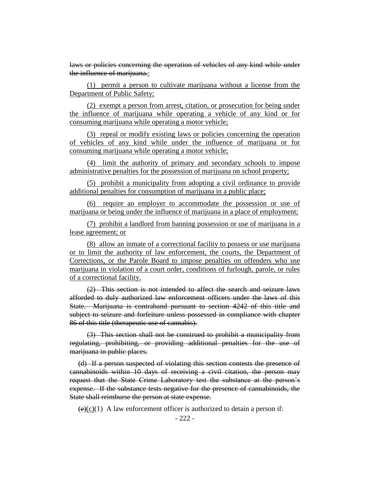laws or policies concerning the operation of vehicles of any kind while under the influence of marijuana.:

(1) permit a person to cultivate marijuana without a license from the Department of Public Safety;

(2) exempt a person from arrest, citation, or prosecution for being under the influence of marijuana while operating a vehicle of any kind or for consuming marijuana while operating a motor vehicle;

(3) repeal or modify existing laws or policies concerning the operation of vehicles of any kind while under the influence of marijuana or for consuming marijuana while operating a motor vehicle;

(4) limit the authority of primary and secondary schools to impose administrative penalties for the possession of marijuana on school property;

(5) prohibit a municipality from adopting a civil ordinance to provide additional penalties for consumption of marijuana in a public place;

(6) require an employer to accommodate the possession or use of marijuana or being under the influence of marijuana in a place of employment;

(7) prohibit a landlord from banning possession or use of marijuana in a lease agreement; or

(8) allow an inmate of a correctional facility to possess or use marijuana or to limit the authority of law enforcement, the courts, the Department of Corrections, or the Parole Board to impose penalties on offenders who use marijuana in violation of a court order, conditions of furlough, parole, or rules of a correctional facility.

(2) This section is not intended to affect the search and seizure laws afforded to duly authorized law enforcement officers under the laws of this State. Marijuana is contraband pursuant to section 4242 of this title and subject to seizure and forfeiture unless possessed in compliance with chapter 86 of this title (therapeutic use of cannabis).

(3) This section shall not be construed to prohibit a municipality from regulating, prohibiting, or providing additional penalties for the use of marijuana in public places.

(d) If a person suspected of violating this section contests the presence of cannabinoids within 10 days of receiving a civil citation, the person may request that the State Crime Laboratory test the substance at the person's expense. If the substance tests negative for the presence of cannabinoids, the State shall reimburse the person at state expense.

 $\overline{(e)(c)}(1)$  A law enforcement officer is authorized to detain a person if: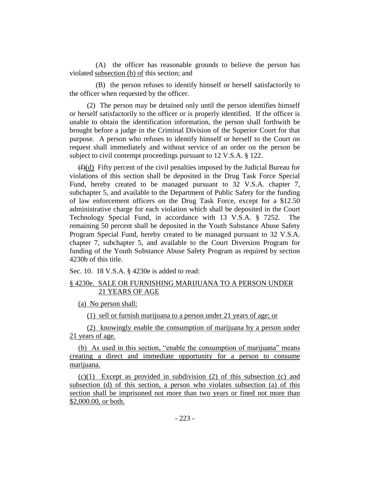(A) the officer has reasonable grounds to believe the person has violated subsection (b) of this section; and

(B) the person refuses to identify himself or herself satisfactorily to the officer when requested by the officer.

(2) The person may be detained only until the person identifies himself or herself satisfactorily to the officer or is properly identified. If the officer is unable to obtain the identification information, the person shall forthwith be brought before a judge in the Criminal Division of the Superior Court for that purpose. A person who refuses to identify himself or herself to the Court on request shall immediately and without service of an order on the person be subject to civil contempt proceedings pursuant to 12 V.S.A. § 122.

 $(f(x))$  Fifty percent of the civil penalties imposed by the Judicial Bureau for violations of this section shall be deposited in the Drug Task Force Special Fund, hereby created to be managed pursuant to 32 V.S.A. chapter 7, subchapter 5, and available to the Department of Public Safety for the funding of law enforcement officers on the Drug Task Force, except for a \$12.50 administrative charge for each violation which shall be deposited in the Court Technology Special Fund, in accordance with 13 V.S.A. § 7252. The remaining 50 percent shall be deposited in the Youth Substance Abuse Safety Program Special Fund, hereby created to be managed pursuant to 32 V.S.A. chapter 7, subchapter 5, and available to the Court Diversion Program for funding of the Youth Substance Abuse Safety Program as required by section 4230b of this title.

Sec. 10. 18 V.S.A. § 4230e is added to read:

# § 4230e. SALE OR FURNISHING MARIJUANA TO A PERSON UNDER 21 YEARS OF AGE

(a) No person shall:

(1) sell or furnish marijuana to a person under 21 years of age; or

(2) knowingly enable the consumption of marijuana by a person under 21 years of age.

(b) As used in this section, "enable the consumption of marijuana" means creating a direct and immediate opportunity for a person to consume marijuana.

(c)(1) Except as provided in subdivision (2) of this subsection (c) and subsection (d) of this section, a person who violates subsection (a) of this section shall be imprisoned not more than two years or fined not more than \$2,000.00, or both.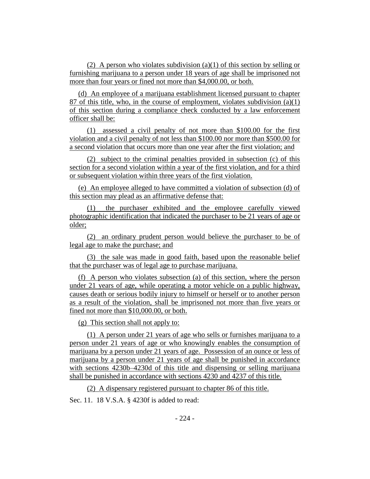(2) A person who violates subdivision (a)(1) of this section by selling or furnishing marijuana to a person under 18 years of age shall be imprisoned not more than four years or fined not more than \$4,000.00, or both.

(d) An employee of a marijuana establishment licensed pursuant to chapter 87 of this title, who, in the course of employment, violates subdivision (a)(1) of this section during a compliance check conducted by a law enforcement officer shall be:

(1) assessed a civil penalty of not more than \$100.00 for the first violation and a civil penalty of not less than \$100.00 nor more than \$500.00 for a second violation that occurs more than one year after the first violation; and

(2) subject to the criminal penalties provided in subsection (c) of this section for a second violation within a year of the first violation, and for a third or subsequent violation within three years of the first violation.

(e) An employee alleged to have committed a violation of subsection (d) of this section may plead as an affirmative defense that:

(1) the purchaser exhibited and the employee carefully viewed photographic identification that indicated the purchaser to be 21 years of age or older;

(2) an ordinary prudent person would believe the purchaser to be of legal age to make the purchase; and

(3) the sale was made in good faith, based upon the reasonable belief that the purchaser was of legal age to purchase marijuana.

(f) A person who violates subsection (a) of this section, where the person under 21 years of age, while operating a motor vehicle on a public highway, causes death or serious bodily injury to himself or herself or to another person as a result of the violation, shall be imprisoned not more than five years or fined not more than \$10,000.00, or both.

(g) This section shall not apply to:

(1) A person under 21 years of age who sells or furnishes marijuana to a person under 21 years of age or who knowingly enables the consumption of marijuana by a person under 21 years of age. Possession of an ounce or less of marijuana by a person under 21 years of age shall be punished in accordance with sections 4230b–4230d of this title and dispensing or selling marijuana shall be punished in accordance with sections 4230 and 4237 of this title.

(2) A dispensary registered pursuant to chapter 86 of this title.

Sec. 11. 18 V.S.A. § 4230f is added to read: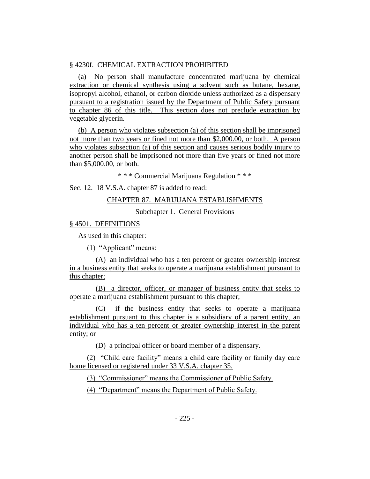# § 4230f. CHEMICAL EXTRACTION PROHIBITED

(a) No person shall manufacture concentrated marijuana by chemical extraction or chemical synthesis using a solvent such as butane, hexane, isopropyl alcohol, ethanol, or carbon dioxide unless authorized as a dispensary pursuant to a registration issued by the Department of Public Safety pursuant to chapter 86 of this title. This section does not preclude extraction by vegetable glycerin.

(b) A person who violates subsection (a) of this section shall be imprisoned not more than two years or fined not more than \$2,000.00, or both. A person who violates subsection (a) of this section and causes serious bodily injury to another person shall be imprisoned not more than five years or fined not more than \$5,000.00, or both.

\* \* \* Commercial Marijuana Regulation \* \* \*

Sec. 12. 18 V.S.A. chapter 87 is added to read:

# CHAPTER 87. MARIJUANA ESTABLISHMENTS

Subchapter 1. General Provisions

§ 4501. DEFINITIONS

As used in this chapter:

(1) "Applicant" means:

(A) an individual who has a ten percent or greater ownership interest in a business entity that seeks to operate a marijuana establishment pursuant to this chapter;

(B) a director, officer, or manager of business entity that seeks to operate a marijuana establishment pursuant to this chapter;

(C) if the business entity that seeks to operate a marijuana establishment pursuant to this chapter is a subsidiary of a parent entity, an individual who has a ten percent or greater ownership interest in the parent entity; or

(D) a principal officer or board member of a dispensary.

(2) "Child care facility" means a child care facility or family day care home licensed or registered under 33 V.S.A. chapter 35.

(3) "Commissioner" means the Commissioner of Public Safety.

(4) "Department" means the Department of Public Safety.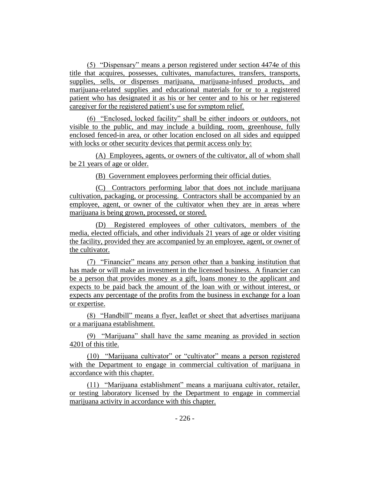(5) "Dispensary" means a person registered under section 4474e of this title that acquires, possesses, cultivates, manufactures, transfers, transports, supplies, sells, or dispenses marijuana, marijuana-infused products, and marijuana-related supplies and educational materials for or to a registered patient who has designated it as his or her center and to his or her registered caregiver for the registered patient's use for symptom relief.

(6) "Enclosed, locked facility" shall be either indoors or outdoors, not visible to the public, and may include a building, room, greenhouse, fully enclosed fenced-in area, or other location enclosed on all sides and equipped with locks or other security devices that permit access only by:

(A) Employees, agents, or owners of the cultivator, all of whom shall be 21 years of age or older.

(B) Government employees performing their official duties.

(C) Contractors performing labor that does not include marijuana cultivation, packaging, or processing. Contractors shall be accompanied by an employee, agent, or owner of the cultivator when they are in areas where marijuana is being grown, processed, or stored.

(D) Registered employees of other cultivators, members of the media, elected officials, and other individuals 21 years of age or older visiting the facility, provided they are accompanied by an employee, agent, or owner of the cultivator.

(7) "Financier" means any person other than a banking institution that has made or will make an investment in the licensed business. A financier can be a person that provides money as a gift, loans money to the applicant and expects to be paid back the amount of the loan with or without interest, or expects any percentage of the profits from the business in exchange for a loan or expertise.

(8) "Handbill" means a flyer, leaflet or sheet that advertises marijuana or a marijuana establishment.

(9) "Marijuana" shall have the same meaning as provided in section 4201 of this title.

(10) "Marijuana cultivator" or "cultivator" means a person registered with the Department to engage in commercial cultivation of marijuana in accordance with this chapter.

(11) "Marijuana establishment" means a marijuana cultivator, retailer, or testing laboratory licensed by the Department to engage in commercial marijuana activity in accordance with this chapter.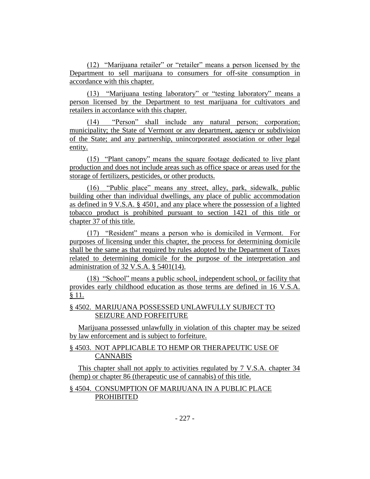(12) "Marijuana retailer" or "retailer" means a person licensed by the Department to sell marijuana to consumers for off-site consumption in accordance with this chapter.

(13) "Marijuana testing laboratory" or "testing laboratory" means a person licensed by the Department to test marijuana for cultivators and retailers in accordance with this chapter.

(14) "Person" shall include any natural person; corporation; municipality; the State of Vermont or any department, agency or subdivision of the State; and any partnership, unincorporated association or other legal entity.

(15) "Plant canopy" means the square footage dedicated to live plant production and does not include areas such as office space or areas used for the storage of fertilizers, pesticides, or other products.

(16) "Public place" means any street, alley, park, sidewalk, public building other than individual dwellings, any place of public accommodation as defined in 9 V.S.A. § 4501, and any place where the possession of a lighted tobacco product is prohibited pursuant to section 1421 of this title or chapter 37 of this title.

(17) "Resident" means a person who is domiciled in Vermont. For purposes of licensing under this chapter, the process for determining domicile shall be the same as that required by rules adopted by the Department of Taxes related to determining domicile for the purpose of the interpretation and administration of 32 V.S.A. § 5401(14).

(18) "School" means a public school, independent school, or facility that provides early childhood education as those terms are defined in 16 V.S.A. § 11.

# § 4502. MARIJUANA POSSESSED UNLAWFULLY SUBJECT TO SEIZURE AND FORFEITURE

Marijuana possessed unlawfully in violation of this chapter may be seized by law enforcement and is subject to forfeiture.

# § 4503. NOT APPLICABLE TO HEMP OR THERAPEUTIC USE OF CANNABIS

This chapter shall not apply to activities regulated by 7 V.S.A. chapter 34 (hemp) or chapter 86 (therapeutic use of cannabis) of this title.

# § 4504. CONSUMPTION OF MARIJUANA IN A PUBLIC PLACE PROHIBITED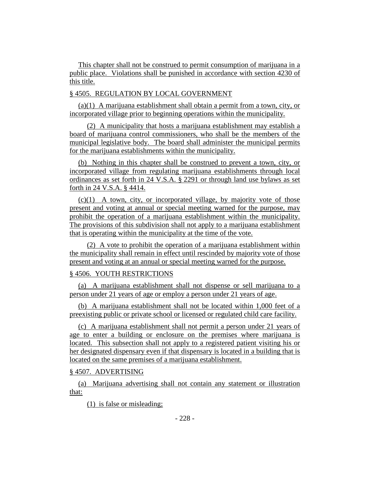This chapter shall not be construed to permit consumption of marijuana in a public place. Violations shall be punished in accordance with section 4230 of this title.

# § 4505. REGULATION BY LOCAL GOVERNMENT

(a)(1) A marijuana establishment shall obtain a permit from a town, city, or incorporated village prior to beginning operations within the municipality.

(2) A municipality that hosts a marijuana establishment may establish a board of marijuana control commissioners, who shall be the members of the municipal legislative body. The board shall administer the municipal permits for the marijuana establishments within the municipality.

(b) Nothing in this chapter shall be construed to prevent a town, city, or incorporated village from regulating marijuana establishments through local ordinances as set forth in 24 V.S.A. § 2291 or through land use bylaws as set forth in 24 V.S.A. § 4414.

 $(c)(1)$  A town, city, or incorporated village, by majority vote of those present and voting at annual or special meeting warned for the purpose, may prohibit the operation of a marijuana establishment within the municipality. The provisions of this subdivision shall not apply to a marijuana establishment that is operating within the municipality at the time of the vote.

(2) A vote to prohibit the operation of a marijuana establishment within the municipality shall remain in effect until rescinded by majority vote of those present and voting at an annual or special meeting warned for the purpose.

# § 4506. YOUTH RESTRICTIONS

(a) A marijuana establishment shall not dispense or sell marijuana to a person under 21 years of age or employ a person under 21 years of age.

(b) A marijuana establishment shall not be located within 1,000 feet of a preexisting public or private school or licensed or regulated child care facility.

(c) A marijuana establishment shall not permit a person under 21 years of age to enter a building or enclosure on the premises where marijuana is located. This subsection shall not apply to a registered patient visiting his or her designated dispensary even if that dispensary is located in a building that is located on the same premises of a marijuana establishment.

#### § 4507. ADVERTISING

(a) Marijuana advertising shall not contain any statement or illustration that:

(1) is false or misleading;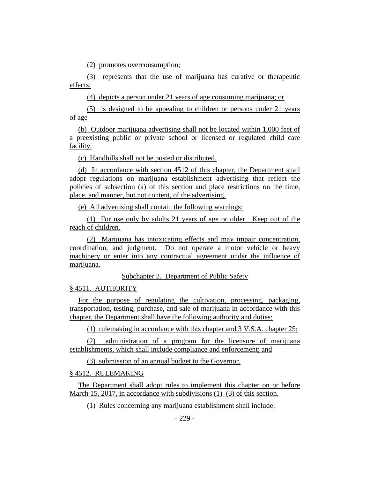(2) promotes overconsumption;

(3) represents that the use of marijuana has curative or therapeutic effects;

(4) depicts a person under 21 years of age consuming marijuana; or

(5) is designed to be appealing to children or persons under 21 years of age

(b) Outdoor marijuana advertising shall not be located within 1,000 feet of a preexisting public or private school or licensed or regulated child care facility.

(c) Handbills shall not be posted or distributed.

(d) In accordance with section 4512 of this chapter, the Department shall adopt regulations on marijuana establishment advertising that reflect the policies of subsection (a) of this section and place restrictions on the time, place, and manner, but not content, of the advertising.

(e) All advertising shall contain the following warnings:

(1) For use only by adults 21 years of age or older. Keep out of the reach of children.

(2) Marijuana has intoxicating effects and may impair concentration, coordination, and judgment. Do not operate a motor vehicle or heavy machinery or enter into any contractual agreement under the influence of marijuana.

Subchapter 2. Department of Public Safety

# § 4511. AUTHORITY

For the purpose of regulating the cultivation, processing, packaging, transportation, testing, purchase, and sale of marijuana in accordance with this chapter, the Department shall have the following authority and duties:

(1) rulemaking in accordance with this chapter and 3 V.S.A. chapter 25;

(2) administration of a program for the licensure of marijuana establishments, which shall include compliance and enforcement; and

(3) submission of an annual budget to the Governor.

# § 4512. RULEMAKING

The Department shall adopt rules to implement this chapter on or before March 15, 2017, in accordance with subdivisions (1)–(3) of this section.

(1) Rules concerning any marijuana establishment shall include: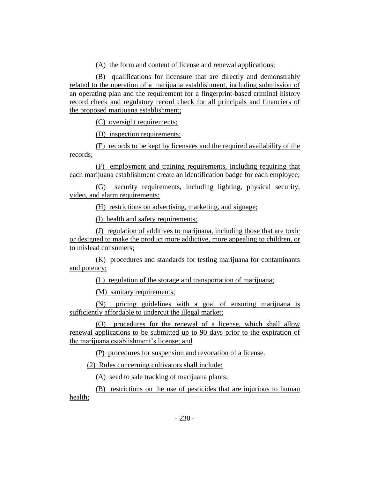(A) the form and content of license and renewal applications;

(B) qualifications for licensure that are directly and demonstrably related to the operation of a marijuana establishment, including submission of an operating plan and the requirement for a fingerprint-based criminal history record check and regulatory record check for all principals and financiers of the proposed marijuana establishment;

(C) oversight requirements;

(D) inspection requirements;

(E) records to be kept by licensees and the required availability of the records;

(F) employment and training requirements, including requiring that each marijuana establishment create an identification badge for each employee;

(G) security requirements, including lighting, physical security, video, and alarm requirements;

(H) restrictions on advertising, marketing, and signage;

(I) health and safety requirements;

(J) regulation of additives to marijuana, including those that are toxic or designed to make the product more addictive, more appealing to children, or to mislead consumers;

(K) procedures and standards for testing marijuana for contaminants and potency;

(L) regulation of the storage and transportation of marijuana;

(M) sanitary requirements;

(N) pricing guidelines with a goal of ensuring marijuana is sufficiently affordable to undercut the illegal market;

(O) procedures for the renewal of a license, which shall allow renewal applications to be submitted up to 90 days prior to the expiration of the marijuana establishment's license; and

(P) procedures for suspension and revocation of a license.

(2) Rules concerning cultivators shall include:

(A) seed to sale tracking of marijuana plants;

(B) restrictions on the use of pesticides that are injurious to human health;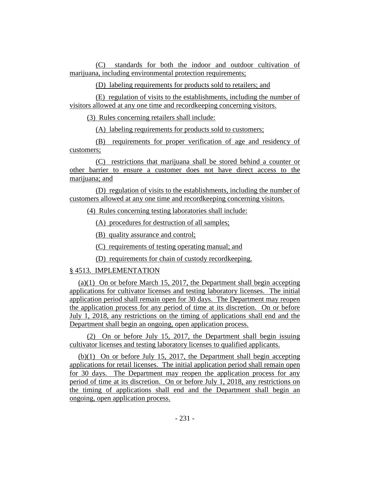(C) standards for both the indoor and outdoor cultivation of marijuana, including environmental protection requirements;

(D) labeling requirements for products sold to retailers; and

(E) regulation of visits to the establishments, including the number of visitors allowed at any one time and recordkeeping concerning visitors.

(3) Rules concerning retailers shall include:

(A) labeling requirements for products sold to customers;

(B) requirements for proper verification of age and residency of customers;

(C) restrictions that marijuana shall be stored behind a counter or other barrier to ensure a customer does not have direct access to the marijuana; and

(D) regulation of visits to the establishments, including the number of customers allowed at any one time and recordkeeping concerning visitors.

(4) Rules concerning testing laboratories shall include:

(A) procedures for destruction of all samples;

(B) quality assurance and control;

(C) requirements of testing operating manual; and

(D) requirements for chain of custody recordkeeping.

# § 4513. IMPLEMENTATION

(a)(1) On or before March 15, 2017, the Department shall begin accepting applications for cultivator licenses and testing laboratory licenses. The initial application period shall remain open for 30 days. The Department may reopen the application process for any period of time at its discretion. On or before July 1, 2018, any restrictions on the timing of applications shall end and the Department shall begin an ongoing, open application process.

(2) On or before July 15, 2017, the Department shall begin issuing cultivator licenses and testing laboratory licenses to qualified applicants.

(b)(1) On or before July 15, 2017, the Department shall begin accepting applications for retail licenses. The initial application period shall remain open for 30 days. The Department may reopen the application process for any period of time at its discretion. On or before July 1, 2018, any restrictions on the timing of applications shall end and the Department shall begin an ongoing, open application process.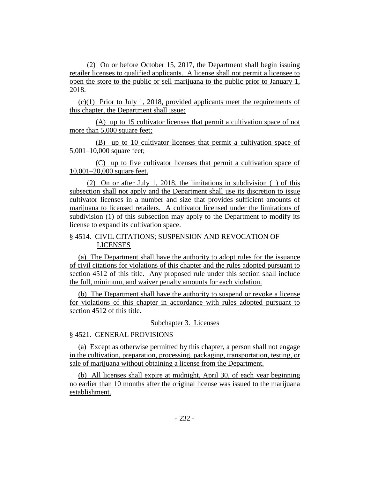(2) On or before October 15, 2017, the Department shall begin issuing retailer licenses to qualified applicants. A license shall not permit a licensee to open the store to the public or sell marijuana to the public prior to January 1, 2018.

(c)(1) Prior to July 1, 2018, provided applicants meet the requirements of this chapter, the Department shall issue:

(A) up to 15 cultivator licenses that permit a cultivation space of not more than 5,000 square feet;

(B) up to 10 cultivator licenses that permit a cultivation space of 5,001–10,000 square feet;

(C) up to five cultivator licenses that permit a cultivation space of 10,001–20,000 square feet.

(2) On or after July 1, 2018, the limitations in subdivision (1) of this subsection shall not apply and the Department shall use its discretion to issue cultivator licenses in a number and size that provides sufficient amounts of marijuana to licensed retailers. A cultivator licensed under the limitations of subdivision (1) of this subsection may apply to the Department to modify its license to expand its cultivation space.

# § 4514. CIVIL CITATIONS; SUSPENSION AND REVOCATION OF LICENSES

(a) The Department shall have the authority to adopt rules for the issuance of civil citations for violations of this chapter and the rules adopted pursuant to section 4512 of this title. Any proposed rule under this section shall include the full, minimum, and waiver penalty amounts for each violation.

(b) The Department shall have the authority to suspend or revoke a license for violations of this chapter in accordance with rules adopted pursuant to section 4512 of this title.

#### Subchapter 3. Licenses

# § 4521. GENERAL PROVISIONS

(a) Except as otherwise permitted by this chapter, a person shall not engage in the cultivation, preparation, processing, packaging, transportation, testing, or sale of marijuana without obtaining a license from the Department.

(b) All licenses shall expire at midnight, April 30, of each year beginning no earlier than 10 months after the original license was issued to the marijuana establishment.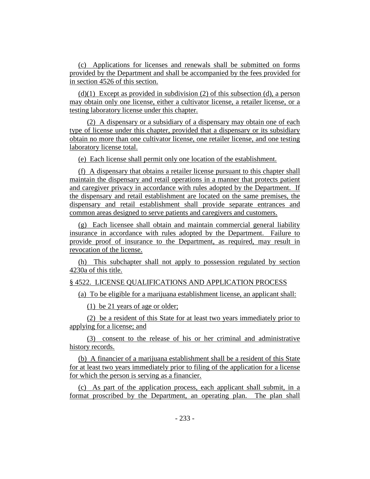(c) Applications for licenses and renewals shall be submitted on forms provided by the Department and shall be accompanied by the fees provided for in section 4526 of this section.

 $(d)(1)$  Except as provided in subdivision (2) of this subsection (d), a person may obtain only one license, either a cultivator license, a retailer license, or a testing laboratory license under this chapter.

(2) A dispensary or a subsidiary of a dispensary may obtain one of each type of license under this chapter, provided that a dispensary or its subsidiary obtain no more than one cultivator license, one retailer license, and one testing laboratory license total.

(e) Each license shall permit only one location of the establishment.

(f) A dispensary that obtains a retailer license pursuant to this chapter shall maintain the dispensary and retail operations in a manner that protects patient and caregiver privacy in accordance with rules adopted by the Department. If the dispensary and retail establishment are located on the same premises, the dispensary and retail establishment shall provide separate entrances and common areas designed to serve patients and caregivers and customers.

(g) Each licensee shall obtain and maintain commercial general liability insurance in accordance with rules adopted by the Department. Failure to provide proof of insurance to the Department, as required, may result in revocation of the license.

(h) This subchapter shall not apply to possession regulated by section 4230a of this title.

#### § 4522. LICENSE QUALIFICATIONS AND APPLICATION PROCESS

(a) To be eligible for a marijuana establishment license, an applicant shall:

(1) be 21 years of age or older;

(2) be a resident of this State for at least two years immediately prior to applying for a license; and

(3) consent to the release of his or her criminal and administrative history records.

(b) A financier of a marijuana establishment shall be a resident of this State for at least two years immediately prior to filing of the application for a license for which the person is serving as a financier.

(c) As part of the application process, each applicant shall submit, in a format proscribed by the Department, an operating plan. The plan shall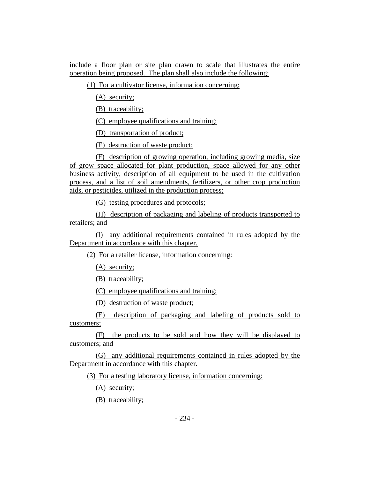include a floor plan or site plan drawn to scale that illustrates the entire operation being proposed. The plan shall also include the following:

(1) For a cultivator license, information concerning:

(A) security;

(B) traceability;

(C) employee qualifications and training;

(D) transportation of product;

(E) destruction of waste product;

(F) description of growing operation, including growing media, size of grow space allocated for plant production, space allowed for any other business activity, description of all equipment to be used in the cultivation process, and a list of soil amendments, fertilizers, or other crop production aids, or pesticides, utilized in the production process;

(G) testing procedures and protocols;

(H) description of packaging and labeling of products transported to retailers; and

(I) any additional requirements contained in rules adopted by the Department in accordance with this chapter.

(2) For a retailer license, information concerning:

(A) security;

(B) traceability;

(C) employee qualifications and training;

(D) destruction of waste product;

(E) description of packaging and labeling of products sold to customers;

(F) the products to be sold and how they will be displayed to customers; and

(G) any additional requirements contained in rules adopted by the Department in accordance with this chapter.

(3) For a testing laboratory license, information concerning:

(A) security;

(B) traceability;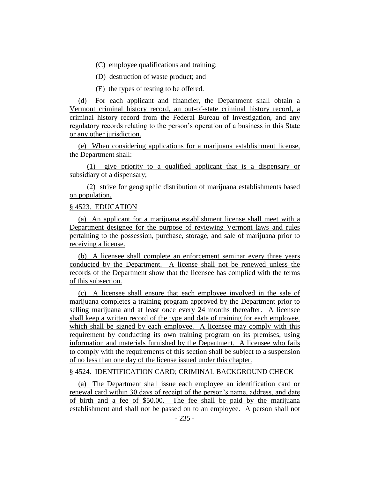(C) employee qualifications and training;

(D) destruction of waste product; and

(E) the types of testing to be offered.

(d) For each applicant and financier, the Department shall obtain a Vermont criminal history record, an out-of-state criminal history record, a criminal history record from the Federal Bureau of Investigation, and any regulatory records relating to the person's operation of a business in this State or any other jurisdiction.

(e) When considering applications for a marijuana establishment license, the Department shall:

(1) give priority to a qualified applicant that is a dispensary or subsidiary of a dispensary;

(2) strive for geographic distribution of marijuana establishments based on population.

# § 4523. EDUCATION

(a) An applicant for a marijuana establishment license shall meet with a Department designee for the purpose of reviewing Vermont laws and rules pertaining to the possession, purchase, storage, and sale of marijuana prior to receiving a license.

(b) A licensee shall complete an enforcement seminar every three years conducted by the Department. A license shall not be renewed unless the records of the Department show that the licensee has complied with the terms of this subsection.

(c) A licensee shall ensure that each employee involved in the sale of marijuana completes a training program approved by the Department prior to selling marijuana and at least once every 24 months thereafter. A licensee shall keep a written record of the type and date of training for each employee, which shall be signed by each employee. A licensee may comply with this requirement by conducting its own training program on its premises, using information and materials furnished by the Department. A licensee who fails to comply with the requirements of this section shall be subject to a suspension of no less than one day of the license issued under this chapter.

#### § 4524. IDENTIFICATION CARD; CRIMINAL BACKGROUND CHECK

(a) The Department shall issue each employee an identification card or renewal card within 30 days of receipt of the person's name, address, and date of birth and a fee of \$50.00. The fee shall be paid by the marijuana establishment and shall not be passed on to an employee. A person shall not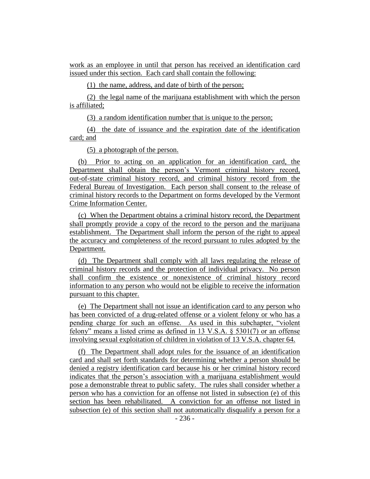work as an employee in until that person has received an identification card issued under this section. Each card shall contain the following:

(1) the name, address, and date of birth of the person;

(2) the legal name of the marijuana establishment with which the person is affiliated;

(3) a random identification number that is unique to the person;

(4) the date of issuance and the expiration date of the identification card; and

(5) a photograph of the person.

(b) Prior to acting on an application for an identification card, the Department shall obtain the person's Vermont criminal history record, out-of-state criminal history record, and criminal history record from the Federal Bureau of Investigation. Each person shall consent to the release of criminal history records to the Department on forms developed by the Vermont Crime Information Center.

(c) When the Department obtains a criminal history record, the Department shall promptly provide a copy of the record to the person and the marijuana establishment. The Department shall inform the person of the right to appeal the accuracy and completeness of the record pursuant to rules adopted by the Department.

(d) The Department shall comply with all laws regulating the release of criminal history records and the protection of individual privacy. No person shall confirm the existence or nonexistence of criminal history record information to any person who would not be eligible to receive the information pursuant to this chapter.

(e) The Department shall not issue an identification card to any person who has been convicted of a drug-related offense or a violent felony or who has a pending charge for such an offense. As used in this subchapter, "violent felony" means a listed crime as defined in 13 V.S.A. § 5301(7) or an offense involving sexual exploitation of children in violation of 13 V.S.A. chapter 64.

(f) The Department shall adopt rules for the issuance of an identification card and shall set forth standards for determining whether a person should be denied a registry identification card because his or her criminal history record indicates that the person's association with a marijuana establishment would pose a demonstrable threat to public safety. The rules shall consider whether a person who has a conviction for an offense not listed in subsection (e) of this section has been rehabilitated. A conviction for an offense not listed in subsection (e) of this section shall not automatically disqualify a person for a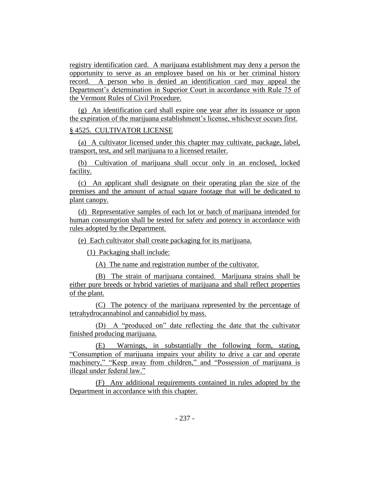registry identification card. A marijuana establishment may deny a person the opportunity to serve as an employee based on his or her criminal history record. A person who is denied an identification card may appeal the Department's determination in Superior Court in accordance with Rule 75 of the Vermont Rules of Civil Procedure.

(g) An identification card shall expire one year after its issuance or upon the expiration of the marijuana establishment's license, whichever occurs first.

#### § 4525. CULTIVATOR LICENSE

(a) A cultivator licensed under this chapter may cultivate, package, label, transport, test, and sell marijuana to a licensed retailer.

(b) Cultivation of marijuana shall occur only in an enclosed, locked facility.

(c) An applicant shall designate on their operating plan the size of the premises and the amount of actual square footage that will be dedicated to plant canopy.

(d) Representative samples of each lot or batch of marijuana intended for human consumption shall be tested for safety and potency in accordance with rules adopted by the Department.

(e) Each cultivator shall create packaging for its marijuana.

(1) Packaging shall include:

(A) The name and registration number of the cultivator.

(B) The strain of marijuana contained. Marijuana strains shall be either pure breeds or hybrid varieties of marijuana and shall reflect properties of the plant.

(C) The potency of the marijuana represented by the percentage of tetrahydrocannabinol and cannabidiol by mass.

(D) A "produced on" date reflecting the date that the cultivator finished producing marijuana.

(E) Warnings, in substantially the following form, stating, "Consumption of marijuana impairs your ability to drive a car and operate machinery," "Keep away from children," and "Possession of marijuana is illegal under federal law."

(F) Any additional requirements contained in rules adopted by the Department in accordance with this chapter.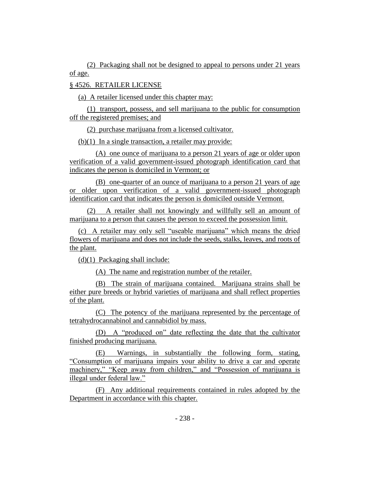(2) Packaging shall not be designed to appeal to persons under 21 years of age.

# § 4526. RETAILER LICENSE

(a) A retailer licensed under this chapter may:

(1) transport, possess, and sell marijuana to the public for consumption off the registered premises; and

(2) purchase marijuana from a licensed cultivator.

(b)(1) In a single transaction, a retailer may provide:

(A) one ounce of marijuana to a person 21 years of age or older upon verification of a valid government-issued photograph identification card that indicates the person is domiciled in Vermont; or

(B) one-quarter of an ounce of marijuana to a person 21 years of age or older upon verification of a valid government-issued photograph identification card that indicates the person is domiciled outside Vermont.

(2) A retailer shall not knowingly and willfully sell an amount of marijuana to a person that causes the person to exceed the possession limit.

(c) A retailer may only sell "useable marijuana" which means the dried flowers of marijuana and does not include the seeds, stalks, leaves, and roots of the plant.

(d)(1) Packaging shall include:

(A) The name and registration number of the retailer.

(B) The strain of marijuana contained. Marijuana strains shall be either pure breeds or hybrid varieties of marijuana and shall reflect properties of the plant.

(C) The potency of the marijuana represented by the percentage of tetrahydrocannabinol and cannabidiol by mass.

(D) A "produced on" date reflecting the date that the cultivator finished producing marijuana.

(E) Warnings, in substantially the following form, stating, "Consumption of marijuana impairs your ability to drive a car and operate machinery," "Keep away from children," and "Possession of marijuana is illegal under federal law."

(F) Any additional requirements contained in rules adopted by the Department in accordance with this chapter.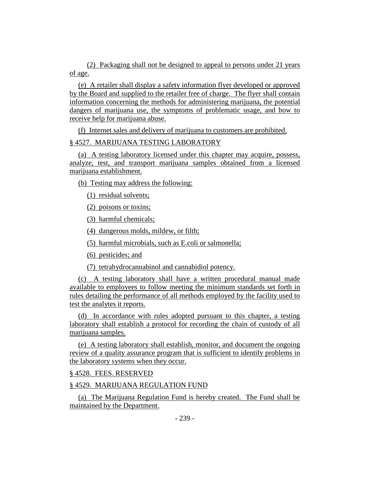(2) Packaging shall not be designed to appeal to persons under 21 years of age.

(e) A retailer shall display a safety information flyer developed or approved by the Board and supplied to the retailer free of charge. The flyer shall contain information concerning the methods for administering marijuana, the potential dangers of marijuana use, the symptoms of problematic usage, and how to receive help for marijuana abuse.

(f) Internet sales and delivery of marijuana to customers are prohibited.

# § 4527. MARIJUANA TESTING LABORATORY

(a) A testing laboratory licensed under this chapter may acquire, possess, analyze, test, and transport marijuana samples obtained from a licensed marijuana establishment.

(b) Testing may address the following:

(1) residual solvents;

(2) poisons or toxins;

(3) harmful chemicals;

(4) dangerous molds, mildew, or filth;

(5) harmful microbials, such as E.coli or salmonella;

(6) pesticides; and

(7) tetrahydrocannabinol and cannabidiol potency.

(c) A testing laboratory shall have a written procedural manual made available to employees to follow meeting the minimum standards set forth in rules detailing the performance of all methods employed by the facility used to test the analytes it reports.

(d) In accordance with rules adopted pursuant to this chapter, a testing laboratory shall establish a protocol for recording the chain of custody of all marijuana samples.

(e) A testing laboratory shall establish, monitor, and document the ongoing review of a quality assurance program that is sufficient to identify problems in the laboratory systems when they occur.

# § 4528. FEES. RESERVED

# § 4529. MARIJUANA REGULATION FUND

(a) The Marijuana Regulation Fund is hereby created. The Fund shall be maintained by the Department.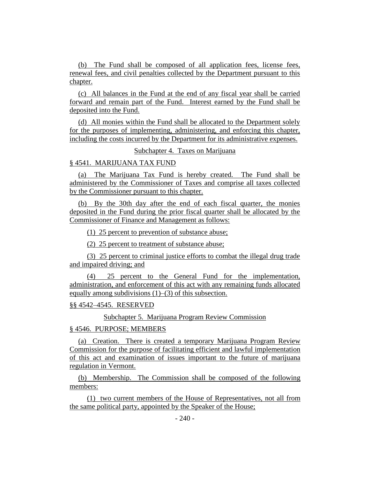(b) The Fund shall be composed of all application fees, license fees, renewal fees, and civil penalties collected by the Department pursuant to this chapter.

(c) All balances in the Fund at the end of any fiscal year shall be carried forward and remain part of the Fund. Interest earned by the Fund shall be deposited into the Fund.

(d) All monies within the Fund shall be allocated to the Department solely for the purposes of implementing, administering, and enforcing this chapter, including the costs incurred by the Department for its administrative expenses.

# Subchapter 4. Taxes on Marijuana

#### § 4541. MARIJUANA TAX FUND

(a) The Marijuana Tax Fund is hereby created. The Fund shall be administered by the Commissioner of Taxes and comprise all taxes collected by the Commissioner pursuant to this chapter.

(b) By the 30th day after the end of each fiscal quarter, the monies deposited in the Fund during the prior fiscal quarter shall be allocated by the Commissioner of Finance and Management as follows:

(1) 25 percent to prevention of substance abuse;

(2) 25 percent to treatment of substance abuse;

(3) 25 percent to criminal justice efforts to combat the illegal drug trade and impaired driving; and

25 percent to the General Fund for the implementation, administration, and enforcement of this act with any remaining funds allocated equally among subdivisions (1)–(3) of this subsection.

#### §§ 4542–4545. RESERVED

Subchapter 5. Marijuana Program Review Commission

#### § 4546. PURPOSE; MEMBERS

(a) Creation. There is created a temporary Marijuana Program Review Commission for the purpose of facilitating efficient and lawful implementation of this act and examination of issues important to the future of marijuana regulation in Vermont.

(b) Membership. The Commission shall be composed of the following members:

(1) two current members of the House of Representatives, not all from the same political party, appointed by the Speaker of the House;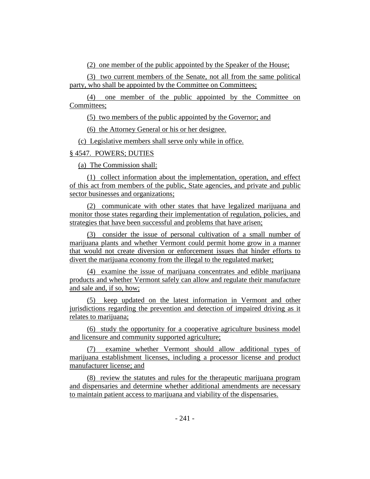(2) one member of the public appointed by the Speaker of the House;

(3) two current members of the Senate, not all from the same political party, who shall be appointed by the Committee on Committees;

(4) one member of the public appointed by the Committee on Committees;

(5) two members of the public appointed by the Governor; and

(6) the Attorney General or his or her designee.

(c) Legislative members shall serve only while in office.

# § 4547. POWERS; DUTIES

(a) The Commission shall:

(1) collect information about the implementation, operation, and effect of this act from members of the public, State agencies, and private and public sector businesses and organizations;

(2) communicate with other states that have legalized marijuana and monitor those states regarding their implementation of regulation, policies, and strategies that have been successful and problems that have arisen;

(3) consider the issue of personal cultivation of a small number of marijuana plants and whether Vermont could permit home grow in a manner that would not create diversion or enforcement issues that hinder efforts to divert the marijuana economy from the illegal to the regulated market;

(4) examine the issue of marijuana concentrates and edible marijuana products and whether Vermont safely can allow and regulate their manufacture and sale and, if so, how;

(5) keep updated on the latest information in Vermont and other jurisdictions regarding the prevention and detection of impaired driving as it relates to marijuana;

(6) study the opportunity for a cooperative agriculture business model and licensure and community supported agriculture;

(7) examine whether Vermont should allow additional types of marijuana establishment licenses, including a processor license and product manufacturer license; and

(8) review the statutes and rules for the therapeutic marijuana program and dispensaries and determine whether additional amendments are necessary to maintain patient access to marijuana and viability of the dispensaries.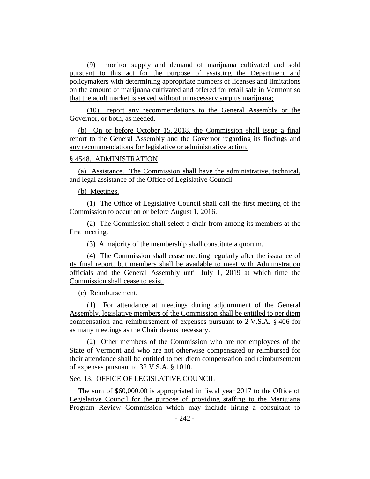(9) monitor supply and demand of marijuana cultivated and sold pursuant to this act for the purpose of assisting the Department and policymakers with determining appropriate numbers of licenses and limitations on the amount of marijuana cultivated and offered for retail sale in Vermont so that the adult market is served without unnecessary surplus marijuana;

(10) report any recommendations to the General Assembly or the Governor, or both, as needed.

(b) On or before October 15, 2018, the Commission shall issue a final report to the General Assembly and the Governor regarding its findings and any recommendations for legislative or administrative action.

## § 4548. ADMINISTRATION

(a) Assistance. The Commission shall have the administrative, technical, and legal assistance of the Office of Legislative Council.

(b) Meetings.

(1) The Office of Legislative Council shall call the first meeting of the Commission to occur on or before August 1, 2016.

(2) The Commission shall select a chair from among its members at the first meeting.

(3) A majority of the membership shall constitute a quorum.

(4) The Commission shall cease meeting regularly after the issuance of its final report, but members shall be available to meet with Administration officials and the General Assembly until July 1, 2019 at which time the Commission shall cease to exist.

(c) Reimbursement.

(1) For attendance at meetings during adjournment of the General Assembly, legislative members of the Commission shall be entitled to per diem compensation and reimbursement of expenses pursuant to 2 V.S.A. § 406 for as many meetings as the Chair deems necessary.

(2) Other members of the Commission who are not employees of the State of Vermont and who are not otherwise compensated or reimbursed for their attendance shall be entitled to per diem compensation and reimbursement of expenses pursuant to 32 V.S.A. § 1010.

Sec. 13. OFFICE OF LEGISLATIVE COUNCIL

The sum of \$60,000.00 is appropriated in fiscal year 2017 to the Office of Legislative Council for the purpose of providing staffing to the Marijuana Program Review Commission which may include hiring a consultant to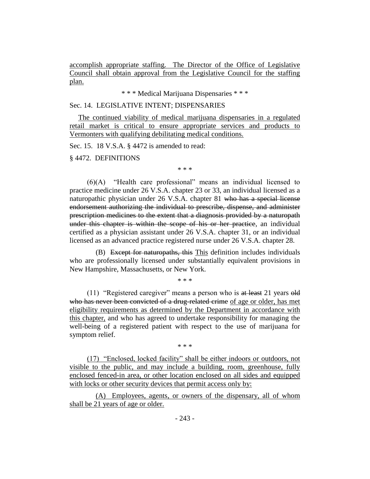accomplish appropriate staffing. The Director of the Office of Legislative Council shall obtain approval from the Legislative Council for the staffing plan.

\* \* \* Medical Marijuana Dispensaries \* \* \*

### Sec. 14. LEGISLATIVE INTENT; DISPENSARIES

The continued viability of medical marijuana dispensaries in a regulated retail market is critical to ensure appropriate services and products to Vermonters with qualifying debilitating medical conditions.

Sec. 15. 18 V.S.A. § 4472 is amended to read:

§ 4472. DEFINITIONS

\* \* \*

(6)(A) "Health care professional" means an individual licensed to practice medicine under 26 V.S.A. chapter 23 or 33, an individual licensed as a naturopathic physician under 26 V.S.A. chapter 81 who has a special license endorsement authorizing the individual to prescribe, dispense, and administer prescription medicines to the extent that a diagnosis provided by a naturopath under this chapter is within the scope of his or her practice, an individual certified as a physician assistant under 26 V.S.A. chapter 31, or an individual licensed as an advanced practice registered nurse under 26 V.S.A. chapter 28.

(B) Except for naturopaths, this This definition includes individuals who are professionally licensed under substantially equivalent provisions in New Hampshire, Massachusetts, or New York.

\* \* \*

(11) "Registered caregiver" means a person who is at least 21 years old who has never been convicted of a drug-related crime of age or older, has met eligibility requirements as determined by the Department in accordance with this chapter, and who has agreed to undertake responsibility for managing the well-being of a registered patient with respect to the use of marijuana for symptom relief.

\* \* \*

(17) "Enclosed, locked facility" shall be either indoors or outdoors, not visible to the public, and may include a building, room, greenhouse, fully enclosed fenced-in area, or other location enclosed on all sides and equipped with locks or other security devices that permit access only by:

(A) Employees, agents, or owners of the dispensary, all of whom shall be 21 years of age or older.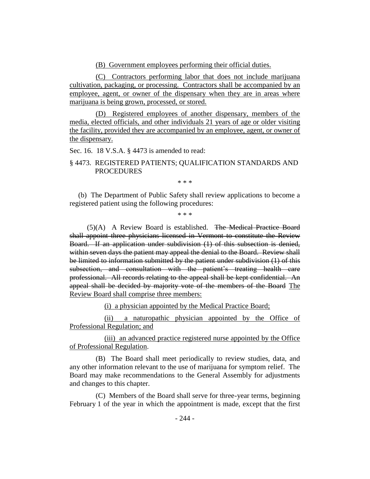(B) Government employees performing their official duties.

(C) Contractors performing labor that does not include marijuana cultivation, packaging, or processing. Contractors shall be accompanied by an employee, agent, or owner of the dispensary when they are in areas where marijuana is being grown, processed, or stored.

(D) Registered employees of another dispensary, members of the media, elected officials, and other individuals 21 years of age or older visiting the facility, provided they are accompanied by an employee, agent, or owner of the dispensary.

Sec. 16. 18 V.S.A. § 4473 is amended to read:

§ 4473. REGISTERED PATIENTS; QUALIFICATION STANDARDS AND **PROCEDURES** 

\* \* \*

(b) The Department of Public Safety shall review applications to become a registered patient using the following procedures:

\* \* \*

(5)(A) A Review Board is established. The Medical Practice Board shall appoint three physicians licensed in Vermont to constitute the Review Board. If an application under subdivision (1) of this subsection is denied, within seven days the patient may appeal the denial to the Board. Review shall be limited to information submitted by the patient under subdivision (1) of this subsection, and consultation with the patient's treating health care professional. All records relating to the appeal shall be kept confidential. An appeal shall be decided by majority vote of the members of the Board The Review Board shall comprise three members:

(i) a physician appointed by the Medical Practice Board;

(ii) a naturopathic physician appointed by the Office of Professional Regulation; and

(iii) an advanced practice registered nurse appointed by the Office of Professional Regulation.

(B) The Board shall meet periodically to review studies, data, and any other information relevant to the use of marijuana for symptom relief. The Board may make recommendations to the General Assembly for adjustments and changes to this chapter.

(C) Members of the Board shall serve for three-year terms, beginning February 1 of the year in which the appointment is made, except that the first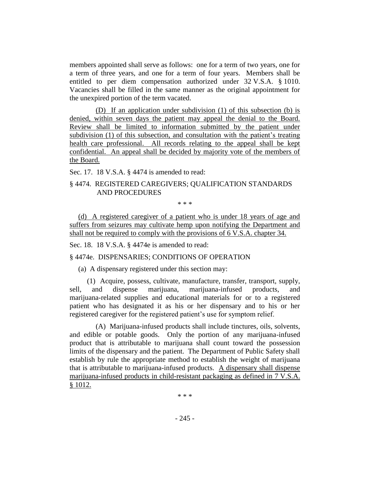members appointed shall serve as follows: one for a term of two years, one for a term of three years, and one for a term of four years. Members shall be entitled to per diem compensation authorized under 32 V.S.A. § 1010. Vacancies shall be filled in the same manner as the original appointment for the unexpired portion of the term vacated.

(D) If an application under subdivision (1) of this subsection (b) is denied, within seven days the patient may appeal the denial to the Board. Review shall be limited to information submitted by the patient under subdivision (1) of this subsection, and consultation with the patient's treating health care professional. All records relating to the appeal shall be kept confidential. An appeal shall be decided by majority vote of the members of the Board.

Sec. 17. 18 V.S.A. § 4474 is amended to read:

# § 4474. REGISTERED CAREGIVERS; QUALIFICATION STANDARDS AND PROCEDURES

\* \* \*

(d) A registered caregiver of a patient who is under 18 years of age and suffers from seizures may cultivate hemp upon notifying the Department and shall not be required to comply with the provisions of 6 V.S.A. chapter 34.

Sec. 18. 18 V.S.A. § 4474e is amended to read:

§ 4474e. DISPENSARIES; CONDITIONS OF OPERATION

(a) A dispensary registered under this section may:

(1) Acquire, possess, cultivate, manufacture, transfer, transport, supply, sell, and dispense marijuana, marijuana-infused products, and marijuana-related supplies and educational materials for or to a registered patient who has designated it as his or her dispensary and to his or her registered caregiver for the registered patient's use for symptom relief.

(A) Marijuana-infused products shall include tinctures, oils, solvents, and edible or potable goods. Only the portion of any marijuana-infused product that is attributable to marijuana shall count toward the possession limits of the dispensary and the patient. The Department of Public Safety shall establish by rule the appropriate method to establish the weight of marijuana that is attributable to marijuana-infused products. A dispensary shall dispense marijuana-infused products in child-resistant packaging as defined in 7 V.S.A. § 1012.

\* \* \*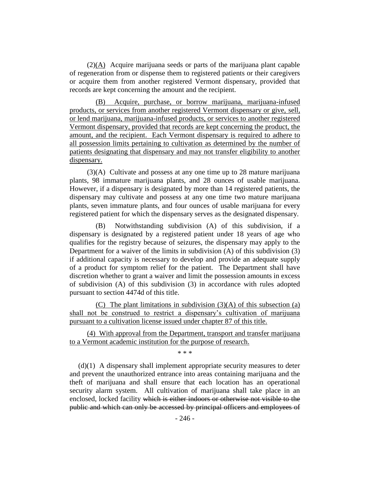(2)(A) Acquire marijuana seeds or parts of the marijuana plant capable of regeneration from or dispense them to registered patients or their caregivers or acquire them from another registered Vermont dispensary, provided that records are kept concerning the amount and the recipient.

(B) Acquire, purchase, or borrow marijuana, marijuana-infused products, or services from another registered Vermont dispensary or give, sell, or lend marijuana, marijuana-infused products, or services to another registered Vermont dispensary, provided that records are kept concerning the product, the amount, and the recipient. Each Vermont dispensary is required to adhere to all possession limits pertaining to cultivation as determined by the number of patients designating that dispensary and may not transfer eligibility to another dispensary.

(3)(A) Cultivate and possess at any one time up to 28 mature marijuana plants, 98 immature marijuana plants, and 28 ounces of usable marijuana. However, if a dispensary is designated by more than 14 registered patients, the dispensary may cultivate and possess at any one time two mature marijuana plants, seven immature plants, and four ounces of usable marijuana for every registered patient for which the dispensary serves as the designated dispensary.

(B) Notwithstanding subdivision (A) of this subdivision, if a dispensary is designated by a registered patient under 18 years of age who qualifies for the registry because of seizures, the dispensary may apply to the Department for a waiver of the limits in subdivision (A) of this subdivision (3) if additional capacity is necessary to develop and provide an adequate supply of a product for symptom relief for the patient. The Department shall have discretion whether to grant a waiver and limit the possession amounts in excess of subdivision (A) of this subdivision (3) in accordance with rules adopted pursuant to section 4474d of this title.

(C) The plant limitations in subdivision (3)(A) of this subsection (a) shall not be construed to restrict a dispensary's cultivation of marijuana pursuant to a cultivation license issued under chapter 87 of this title.

(4) With approval from the Department, transport and transfer marijuana to a Vermont academic institution for the purpose of research.

\* \* \*

(d)(1) A dispensary shall implement appropriate security measures to deter and prevent the unauthorized entrance into areas containing marijuana and the theft of marijuana and shall ensure that each location has an operational security alarm system. All cultivation of marijuana shall take place in an enclosed, locked facility which is either indoors or otherwise not visible to the public and which can only be accessed by principal officers and employees of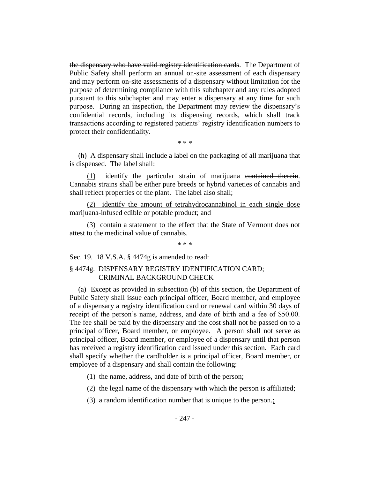the dispensary who have valid registry identification cards. The Department of Public Safety shall perform an annual on-site assessment of each dispensary and may perform on-site assessments of a dispensary without limitation for the purpose of determining compliance with this subchapter and any rules adopted pursuant to this subchapter and may enter a dispensary at any time for such purpose. During an inspection, the Department may review the dispensary's confidential records, including its dispensing records, which shall track transactions according to registered patients' registry identification numbers to protect their confidentiality.

\* \* \*

(h) A dispensary shall include a label on the packaging of all marijuana that is dispensed. The label shall:

(1) identify the particular strain of marijuana contained therein. Cannabis strains shall be either pure breeds or hybrid varieties of cannabis and shall reflect properties of the plant. The label also shall:

(2) identify the amount of tetrahydrocannabinol in each single dose marijuana-infused edible or potable product; and

(3) contain a statement to the effect that the State of Vermont does not attest to the medicinal value of cannabis.

\* \* \*

Sec. 19. 18 V.S.A. § 4474g is amended to read:

## § 4474g. DISPENSARY REGISTRY IDENTIFICATION CARD; CRIMINAL BACKGROUND CHECK

(a) Except as provided in subsection (b) of this section, the Department of Public Safety shall issue each principal officer, Board member, and employee of a dispensary a registry identification card or renewal card within 30 days of receipt of the person's name, address, and date of birth and a fee of \$50.00. The fee shall be paid by the dispensary and the cost shall not be passed on to a principal officer, Board member, or employee. A person shall not serve as principal officer, Board member, or employee of a dispensary until that person has received a registry identification card issued under this section. Each card shall specify whether the cardholder is a principal officer, Board member, or employee of a dispensary and shall contain the following:

(1) the name, address, and date of birth of the person;

(2) the legal name of the dispensary with which the person is affiliated;

(3) a random identification number that is unique to the person.;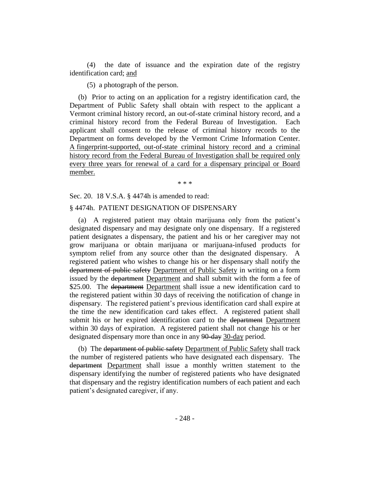(4) the date of issuance and the expiration date of the registry identification card; and

(5) a photograph of the person.

(b) Prior to acting on an application for a registry identification card, the Department of Public Safety shall obtain with respect to the applicant a Vermont criminal history record, an out-of-state criminal history record, and a criminal history record from the Federal Bureau of Investigation. Each applicant shall consent to the release of criminal history records to the Department on forms developed by the Vermont Crime Information Center. A fingerprint-supported, out-of-state criminal history record and a criminal history record from the Federal Bureau of Investigation shall be required only every three years for renewal of a card for a dispensary principal or Board member.

\* \* \*

Sec. 20. 18 V.S.A. § 4474h is amended to read:

### § 4474h. PATIENT DESIGNATION OF DISPENSARY

(a) A registered patient may obtain marijuana only from the patient's designated dispensary and may designate only one dispensary. If a registered patient designates a dispensary, the patient and his or her caregiver may not grow marijuana or obtain marijuana or marijuana-infused products for symptom relief from any source other than the designated dispensary. A registered patient who wishes to change his or her dispensary shall notify the department of public safety Department of Public Safety in writing on a form issued by the department Department and shall submit with the form a fee of \$25.00. The department Department shall issue a new identification card to the registered patient within 30 days of receiving the notification of change in dispensary. The registered patient's previous identification card shall expire at the time the new identification card takes effect. A registered patient shall submit his or her expired identification card to the department Department within 30 days of expiration. A registered patient shall not change his or her designated dispensary more than once in any 90-day 30-day period.

(b) The department of public safety Department of Public Safety shall track the number of registered patients who have designated each dispensary. The department Department shall issue a monthly written statement to the dispensary identifying the number of registered patients who have designated that dispensary and the registry identification numbers of each patient and each patient's designated caregiver, if any.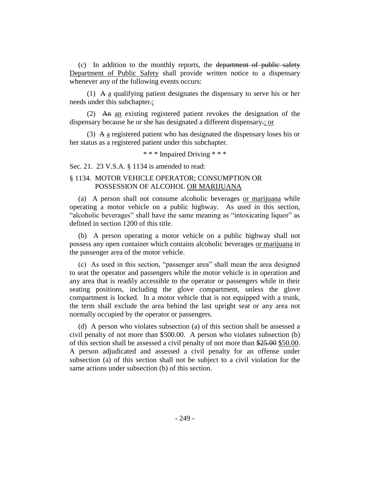(c) In addition to the monthly reports, the department of public safety Department of Public Safety shall provide written notice to a dispensary whenever any of the following events occurs:

(1) A a qualifying patient designates the dispensary to serve his or her needs under this subchapter.;

(2) An an existing registered patient revokes the designation of the dispensary because he or she has designated a different dispensary.; or

(3) A a registered patient who has designated the dispensary loses his or her status as a registered patient under this subchapter.

\* \* \* Impaired Driving \* \* \*

Sec. 21. 23 V.S.A. § 1134 is amended to read:

## § 1134. MOTOR VEHICLE OPERATOR; CONSUMPTION OR POSSESSION OF ALCOHOL OR MARIJUANA

(a) A person shall not consume alcoholic beverages or marijuana while operating a motor vehicle on a public highway. As used in this section, "alcoholic beverages" shall have the same meaning as "intoxicating liquor" as defined in section 1200 of this title.

(b) A person operating a motor vehicle on a public highway shall not possess any open container which contains alcoholic beverages or marijuana in the passenger area of the motor vehicle.

(c) As used in this section, "passenger area" shall mean the area designed to seat the operator and passengers while the motor vehicle is in operation and any area that is readily accessible to the operator or passengers while in their seating positions, including the glove compartment, unless the glove compartment is locked. In a motor vehicle that is not equipped with a trunk, the term shall exclude the area behind the last upright seat or any area not normally occupied by the operator or passengers.

(d) A person who violates subsection (a) of this section shall be assessed a civil penalty of not more than \$500.00. A person who violates subsection (b) of this section shall be assessed a civil penalty of not more than \$25.00 \$50.00. A person adjudicated and assessed a civil penalty for an offense under subsection (a) of this section shall not be subject to a civil violation for the same actions under subsection (b) of this section.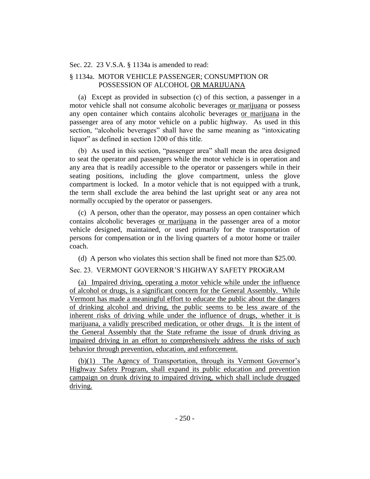#### Sec. 22. 23 V.S.A. § 1134a is amended to read:

# § 1134a. MOTOR VEHICLE PASSENGER; CONSUMPTION OR POSSESSION OF ALCOHOL OR MARIJUANA

(a) Except as provided in subsection (c) of this section, a passenger in a motor vehicle shall not consume alcoholic beverages or marijuana or possess any open container which contains alcoholic beverages or marijuana in the passenger area of any motor vehicle on a public highway. As used in this section, "alcoholic beverages" shall have the same meaning as "intoxicating liquor" as defined in section 1200 of this title.

(b) As used in this section, "passenger area" shall mean the area designed to seat the operator and passengers while the motor vehicle is in operation and any area that is readily accessible to the operator or passengers while in their seating positions, including the glove compartment, unless the glove compartment is locked. In a motor vehicle that is not equipped with a trunk, the term shall exclude the area behind the last upright seat or any area not normally occupied by the operator or passengers.

(c) A person, other than the operator, may possess an open container which contains alcoholic beverages or marijuana in the passenger area of a motor vehicle designed, maintained, or used primarily for the transportation of persons for compensation or in the living quarters of a motor home or trailer coach.

(d) A person who violates this section shall be fined not more than \$25.00.

# Sec. 23. VERMONT GOVERNOR'S HIGHWAY SAFETY PROGRAM

(a) Impaired driving, operating a motor vehicle while under the influence of alcohol or drugs, is a significant concern for the General Assembly. While Vermont has made a meaningful effort to educate the public about the dangers of drinking alcohol and driving, the public seems to be less aware of the inherent risks of driving while under the influence of drugs, whether it is marijuana, a validly prescribed medication, or other drugs. It is the intent of the General Assembly that the State reframe the issue of drunk driving as impaired driving in an effort to comprehensively address the risks of such behavior through prevention, education, and enforcement.

(b)(1) The Agency of Transportation, through its Vermont Governor's Highway Safety Program, shall expand its public education and prevention campaign on drunk driving to impaired driving, which shall include drugged driving.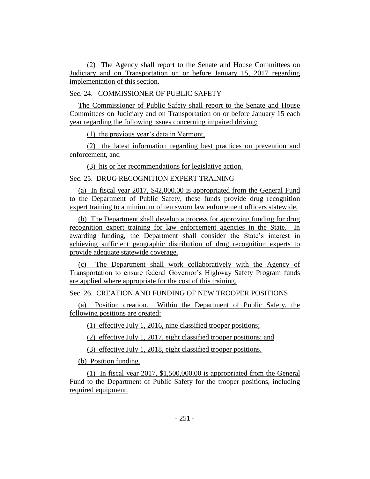(2) The Agency shall report to the Senate and House Committees on Judiciary and on Transportation on or before January 15, 2017 regarding implementation of this section.

Sec. 24. COMMISSIONER OF PUBLIC SAFETY

The Commissioner of Public Safety shall report to the Senate and House Committees on Judiciary and on Transportation on or before January 15 each year regarding the following issues concerning impaired driving:

(1) the previous year's data in Vermont,

(2) the latest information regarding best practices on prevention and enforcement, and

(3) his or her recommendations for legislative action.

Sec. 25. DRUG RECOGNITION EXPERT TRAINING

(a) In fiscal year 2017, \$42,000.00 is appropriated from the General Fund to the Department of Public Safety, these funds provide drug recognition expert training to a minimum of ten sworn law enforcement officers statewide.

(b) The Department shall develop a process for approving funding for drug recognition expert training for law enforcement agencies in the State. In awarding funding, the Department shall consider the State's interest in achieving sufficient geographic distribution of drug recognition experts to provide adequate statewide coverage.

(c) The Department shall work collaboratively with the Agency of Transportation to ensure federal Governor's Highway Safety Program funds are applied where appropriate for the cost of this training.

Sec. 26. CREATION AND FUNDING OF NEW TROOPER POSITIONS

(a) Position creation. Within the Department of Public Safety, the following positions are created:

(1) effective July 1, 2016, nine classified trooper positions;

(2) effective July 1, 2017, eight classified trooper positions; and

(3) effective July 1, 2018, eight classified trooper positions.

(b) Position funding.

(1) In fiscal year 2017, \$1,500,000.00 is appropriated from the General Fund to the Department of Public Safety for the trooper positions, including required equipment.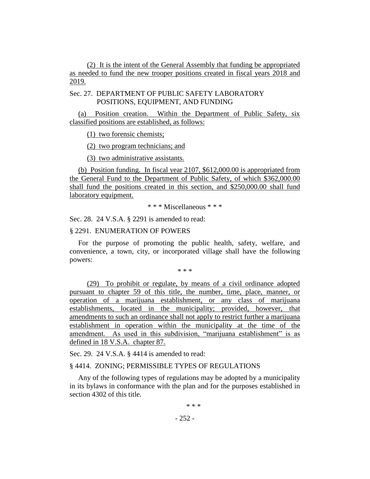(2) It is the intent of the General Assembly that funding be appropriated as needed to fund the new trooper positions created in fiscal years 2018 and 2019.

# Sec. 27. DEPARTMENT OF PUBLIC SAFETY LABORATORY POSITIONS, EQUIPMENT, AND FUNDING

(a) Position creation. Within the Department of Public Safety, six classified positions are established, as follows:

(1) two forensic chemists;

(2) two program technicians; and

(3) two administrative assistants.

(b) Position funding. In fiscal year 2107, \$612,000.00 is appropriated from the General Fund to the Department of Public Safety, of which \$362,000.00 shall fund the positions created in this section, and \$250,000.00 shall fund laboratory equipment.

\* \* \* Miscellaneous \* \* \*

Sec. 28. 24 V.S.A. § 2291 is amended to read:

## § 2291. ENUMERATION OF POWERS

For the purpose of promoting the public health, safety, welfare, and convenience, a town, city, or incorporated village shall have the following powers:

\* \* \*

(29) To prohibit or regulate, by means of a civil ordinance adopted pursuant to chapter 59 of this title, the number, time, place, manner, or operation of a marijuana establishment, or any class of marijuana establishments, located in the municipality; provided, however, that amendments to such an ordinance shall not apply to restrict further a marijuana establishment in operation within the municipality at the time of the amendment. As used in this subdivision, "marijuana establishment" is as defined in 18 V.S.A. chapter 87.

Sec. 29. 24 V.S.A. § 4414 is amended to read:

## § 4414. ZONING; PERMISSIBLE TYPES OF REGULATIONS

Any of the following types of regulations may be adopted by a municipality in its bylaws in conformance with the plan and for the purposes established in section 4302 of this title.

\* \* \*

 $-252-$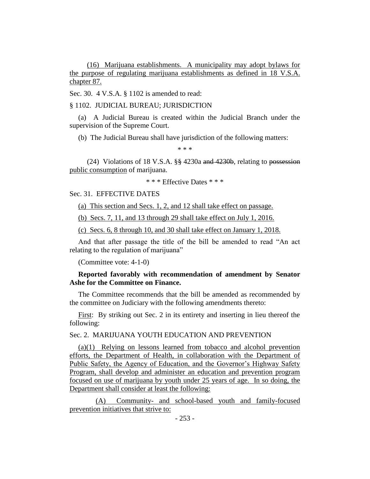(16) Marijuana establishments. A municipality may adopt bylaws for the purpose of regulating marijuana establishments as defined in 18 V.S.A. chapter 87.

Sec. 30. 4 V.S.A. § 1102 is amended to read:

§ 1102. JUDICIAL BUREAU; JURISDICTION

(a) A Judicial Bureau is created within the Judicial Branch under the supervision of the Supreme Court.

(b) The Judicial Bureau shall have jurisdiction of the following matters:

\* \* \*

(24) Violations of 18 V.S.A.  $\S$  4230a and 4230b, relating to possession public consumption of marijuana.

\* \* \* Effective Dates \* \* \*

## Sec. 31. EFFECTIVE DATES

(a) This section and Secs. 1, 2, and 12 shall take effect on passage.

(b) Secs. 7, 11, and 13 through 29 shall take effect on July 1, 2016.

(c) Secs. 6, 8 through 10, and 30 shall take effect on January 1, 2018.

And that after passage the title of the bill be amended to read "An act relating to the regulation of marijuana"

(Committee vote: 4-1-0)

## **Reported favorably with recommendation of amendment by Senator Ashe for the Committee on Finance.**

The Committee recommends that the bill be amended as recommended by the committee on Judiciary with the following amendments thereto:

First: By striking out Sec. 2 in its entirety and inserting in lieu thereof the following:

Sec. 2. MARIJUANA YOUTH EDUCATION AND PREVENTION

(a)(1) Relying on lessons learned from tobacco and alcohol prevention efforts, the Department of Health, in collaboration with the Department of Public Safety, the Agency of Education, and the Governor's Highway Safety Program, shall develop and administer an education and prevention program focused on use of marijuana by youth under 25 years of age. In so doing, the Department shall consider at least the following:

(A) Community- and school-based youth and family-focused prevention initiatives that strive to: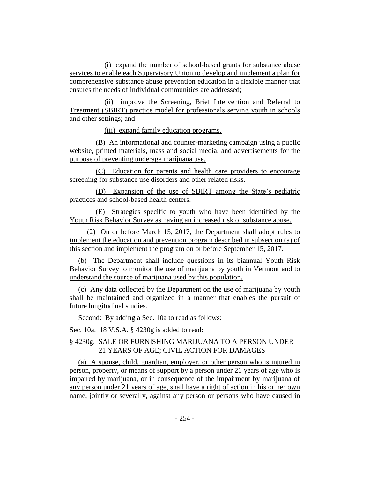(i) expand the number of school-based grants for substance abuse services to enable each Supervisory Union to develop and implement a plan for comprehensive substance abuse prevention education in a flexible manner that ensures the needs of individual communities are addressed;

(ii) improve the Screening, Brief Intervention and Referral to Treatment (SBIRT) practice model for professionals serving youth in schools and other settings; and

(iii) expand family education programs.

(B) An informational and counter-marketing campaign using a public website, printed materials, mass and social media, and advertisements for the purpose of preventing underage marijuana use.

(C) Education for parents and health care providers to encourage screening for substance use disorders and other related risks.

(D) Expansion of the use of SBIRT among the State's pediatric practices and school-based health centers.

(E) Strategies specific to youth who have been identified by the Youth Risk Behavior Survey as having an increased risk of substance abuse.

(2) On or before March 15, 2017, the Department shall adopt rules to implement the education and prevention program described in subsection (a) of this section and implement the program on or before September 15, 2017.

(b) The Department shall include questions in its biannual Youth Risk Behavior Survey to monitor the use of marijuana by youth in Vermont and to understand the source of marijuana used by this population.

(c) Any data collected by the Department on the use of marijuana by youth shall be maintained and organized in a manner that enables the pursuit of future longitudinal studies.

Second: By adding a Sec. 10a to read as follows:

Sec. 10a. 18 V.S.A. § 4230g is added to read:

# § 4230g. SALE OR FURNISHING MARIJUANA TO A PERSON UNDER 21 YEARS OF AGE; CIVIL ACTION FOR DAMAGES

(a) A spouse, child, guardian, employer, or other person who is injured in person, property, or means of support by a person under 21 years of age who is impaired by marijuana, or in consequence of the impairment by marijuana of any person under 21 years of age, shall have a right of action in his or her own name, jointly or severally, against any person or persons who have caused in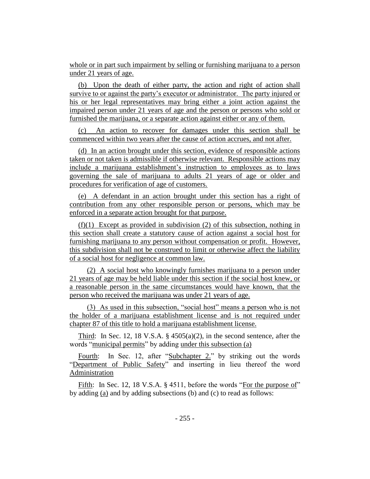whole or in part such impairment by selling or furnishing marijuana to a person under 21 years of age.

(b) Upon the death of either party, the action and right of action shall survive to or against the party's executor or administrator. The party injured or his or her legal representatives may bring either a joint action against the impaired person under 21 years of age and the person or persons who sold or furnished the marijuana, or a separate action against either or any of them.

(c) An action to recover for damages under this section shall be commenced within two years after the cause of action accrues, and not after.

(d) In an action brought under this section, evidence of responsible actions taken or not taken is admissible if otherwise relevant. Responsible actions may include a marijuana establishment's instruction to employees as to laws governing the sale of marijuana to adults 21 years of age or older and procedures for verification of age of customers.

(e) A defendant in an action brought under this section has a right of contribution from any other responsible person or persons, which may be enforced in a separate action brought for that purpose.

(f)(1) Except as provided in subdivision (2) of this subsection, nothing in this section shall create a statutory cause of action against a social host for furnishing marijuana to any person without compensation or profit. However, this subdivision shall not be construed to limit or otherwise affect the liability of a social host for negligence at common law.

(2) A social host who knowingly furnishes marijuana to a person under 21 years of age may be held liable under this section if the social host knew, or a reasonable person in the same circumstances would have known, that the person who received the marijuana was under 21 years of age.

(3) As used in this subsection, "social host" means a person who is not the holder of a marijuana establishment license and is not required under chapter 87 of this title to hold a marijuana establishment license.

Third: In Sec. 12, 18 V.S.A.  $\S$  4505(a)(2), in the second sentence, after the words "municipal permits" by adding under this subsection (a)

Fourth: In Sec. 12, after "Subchapter 2." by striking out the words "Department of Public Safety" and inserting in lieu thereof the word Administration

Fifth: In Sec. 12, 18 V.S.A. § 4511, before the words "For the purpose of" by adding (a) and by adding subsections (b) and (c) to read as follows: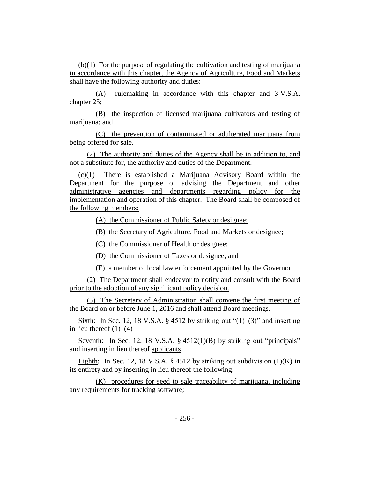(b)(1) For the purpose of regulating the cultivation and testing of marijuana in accordance with this chapter, the Agency of Agriculture, Food and Markets shall have the following authority and duties:

(A) rulemaking in accordance with this chapter and 3 V.S.A. chapter 25;

(B) the inspection of licensed marijuana cultivators and testing of marijuana; and

(C) the prevention of contaminated or adulterated marijuana from being offered for sale.

(2) The authority and duties of the Agency shall be in addition to, and not a substitute for, the authority and duties of the Department.

(c)(1) There is established a Marijuana Advisory Board within the Department for the purpose of advising the Department and other administrative agencies and departments regarding policy for the implementation and operation of this chapter. The Board shall be composed of the following members:

(A) the Commissioner of Public Safety or designee;

(B) the Secretary of Agriculture, Food and Markets or designee;

(C) the Commissioner of Health or designee;

(D) the Commissioner of Taxes or designee; and

(E) a member of local law enforcement appointed by the Governor.

(2) The Department shall endeavor to notify and consult with the Board prior to the adoption of any significant policy decision.

(3) The Secretary of Administration shall convene the first meeting of the Board on or before June 1, 2016 and shall attend Board meetings.

Sixth: In Sec. 12, 18 V.S.A. § 4512 by striking out " $(1)$ – $(3)$ " and inserting in lieu thereof  $(1)$ – $(4)$ 

Seventh: In Sec. 12, 18 V.S.A. § 4512(1)(B) by striking out "principals" and inserting in lieu thereof applicants

Eighth: In Sec. 12, 18 V.S.A.  $\S$  4512 by striking out subdivision (1)(K) in its entirety and by inserting in lieu thereof the following:

(K) procedures for seed to sale traceability of marijuana, including any requirements for tracking software;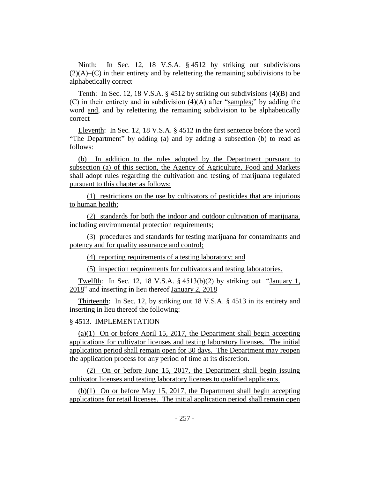Ninth: In Sec. 12, 18 V.S.A. § 4512 by striking out subdivisions  $(2)(A)$ – $(C)$  in their entirety and by relettering the remaining subdivisions to be alphabetically correct

Tenth: In Sec. 12, 18 V.S.A. § 4512 by striking out subdivisions (4)(B) and (C) in their entirety and in subdivision (4)(A) after "samples;" by adding the word and, and by relettering the remaining subdivision to be alphabetically correct

Eleventh: In Sec. 12, 18 V.S.A. § 4512 in the first sentence before the word "The Department" by adding (a) and by adding a subsection (b) to read as follows:

(b) In addition to the rules adopted by the Department pursuant to subsection (a) of this section, the Agency of Agriculture, Food and Markets shall adopt rules regarding the cultivation and testing of marijuana regulated pursuant to this chapter as follows:

(1) restrictions on the use by cultivators of pesticides that are injurious to human health;

(2) standards for both the indoor and outdoor cultivation of marijuana, including environmental protection requirements;

(3) procedures and standards for testing marijuana for contaminants and potency and for quality assurance and control;

(4) reporting requirements of a testing laboratory; and

(5) inspection requirements for cultivators and testing laboratories.

Twelfth: In Sec. 12, 18 V.S.A.  $\S$  4513(b)(2) by striking out "January 1, 2018" and inserting in lieu thereof January 2, 2018

Thirteenth: In Sec. 12, by striking out 18 V.S.A. § 4513 in its entirety and inserting in lieu thereof the following:

## § 4513. IMPLEMENTATION

(a)(1) On or before April 15, 2017, the Department shall begin accepting applications for cultivator licenses and testing laboratory licenses. The initial application period shall remain open for 30 days. The Department may reopen the application process for any period of time at its discretion.

(2) On or before June 15, 2017, the Department shall begin issuing cultivator licenses and testing laboratory licenses to qualified applicants.

(b)(1) On or before May 15, 2017, the Department shall begin accepting applications for retail licenses. The initial application period shall remain open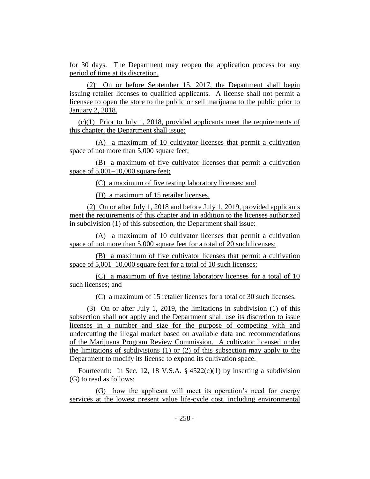for 30 days. The Department may reopen the application process for any period of time at its discretion.

(2) On or before September 15, 2017, the Department shall begin issuing retailer licenses to qualified applicants. A license shall not permit a licensee to open the store to the public or sell marijuana to the public prior to January 2, 2018.

(c)(1) Prior to July 1, 2018, provided applicants meet the requirements of this chapter, the Department shall issue:

(A) a maximum of 10 cultivator licenses that permit a cultivation space of not more than 5,000 square feet;

(B) a maximum of five cultivator licenses that permit a cultivation space of  $5,001-10,000$  square feet;

(C) a maximum of five testing laboratory licenses; and

(D) a maximum of 15 retailer licenses.

(2) On or after July 1, 2018 and before July 1, 2019, provided applicants meet the requirements of this chapter and in addition to the licenses authorized in subdivision (1) of this subsection, the Department shall issue:

(A) a maximum of 10 cultivator licenses that permit a cultivation space of not more than 5,000 square feet for a total of 20 such licenses;

(B) a maximum of five cultivator licenses that permit a cultivation space of  $5,001-10,000$  square feet for a total of 10 such licenses;

(C) a maximum of five testing laboratory licenses for a total of 10 such licenses; and

(C) a maximum of 15 retailer licenses for a total of 30 such licenses.

(3) On or after July 1, 2019, the limitations in subdivision (1) of this subsection shall not apply and the Department shall use its discretion to issue licenses in a number and size for the purpose of competing with and undercutting the illegal market based on available data and recommendations of the Marijuana Program Review Commission. A cultivator licensed under the limitations of subdivisions (1) or (2) of this subsection may apply to the Department to modify its license to expand its cultivation space.

Fourteenth: In Sec. 12, 18 V.S.A.  $\S 4522(c)(1)$  by inserting a subdivision (G) to read as follows:

(G) how the applicant will meet its operation's need for energy services at the lowest present value life-cycle cost, including environmental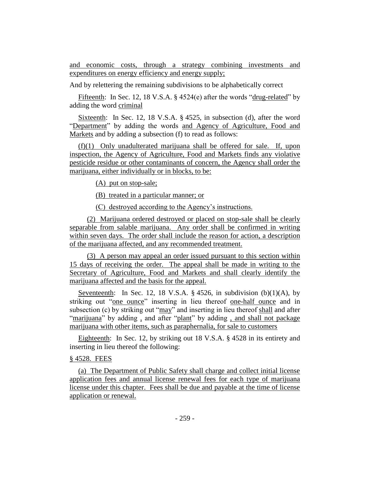and economic costs, through a strategy combining investments and expenditures on energy efficiency and energy supply;

And by relettering the remaining subdivisions to be alphabetically correct

Fifteenth: In Sec. 12, 18 V.S.A. § 4524(e) after the words "drug-related" by adding the word criminal

Sixteenth: In Sec. 12, 18 V.S.A. § 4525, in subsection (d), after the word "Department" by adding the words and Agency of Agriculture, Food and Markets and by adding a subsection (f) to read as follows:

(f)(1) Only unadulterated marijuana shall be offered for sale. If, upon inspection, the Agency of Agriculture, Food and Markets finds any violative pesticide residue or other contaminants of concern, the Agency shall order the marijuana, either individually or in blocks, to be:

(A) put on stop-sale;

(B) treated in a particular manner; or

(C) destroyed according to the Agency's instructions.

(2) Marijuana ordered destroyed or placed on stop-sale shall be clearly separable from salable marijuana. Any order shall be confirmed in writing within seven days. The order shall include the reason for action, a description of the marijuana affected, and any recommended treatment.

(3) A person may appeal an order issued pursuant to this section within 15 days of receiving the order. The appeal shall be made in writing to the Secretary of Agriculture, Food and Markets and shall clearly identify the marijuana affected and the basis for the appeal.

Seventeenth: In Sec. 12, 18 V.S.A.  $\S$  4526, in subdivision (b)(1)(A), by striking out "one ounce" inserting in lieu thereof one-half ounce and in subsection (c) by striking out "may" and inserting in lieu thereof shall and after "marijuana" by adding , and after "plant" by adding , and shall not package marijuana with other items, such as paraphernalia, for sale to customers

Eighteenth: In Sec. 12, by striking out 18 V.S.A. § 4528 in its entirety and inserting in lieu thereof the following:

## § 4528. FEES

(a) The Department of Public Safety shall charge and collect initial license application fees and annual license renewal fees for each type of marijuana license under this chapter. Fees shall be due and payable at the time of license application or renewal.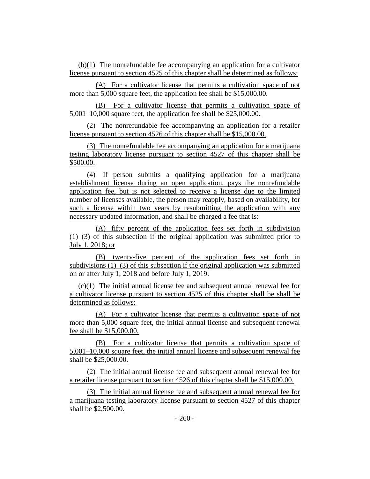(b)(1) The nonrefundable fee accompanying an application for a cultivator license pursuant to section 4525 of this chapter shall be determined as follows:

(A) For a cultivator license that permits a cultivation space of not more than 5,000 square feet, the application fee shall be \$15,000.00.

(B) For a cultivator license that permits a cultivation space of 5,001–10,000 square feet, the application fee shall be \$25,000.00.

(2) The nonrefundable fee accompanying an application for a retailer license pursuant to section 4526 of this chapter shall be \$15,000.00.

(3) The nonrefundable fee accompanying an application for a marijuana testing laboratory license pursuant to section 4527 of this chapter shall be \$500.00.

(4) If person submits a qualifying application for a marijuana establishment license during an open application, pays the nonrefundable application fee, but is not selected to receive a license due to the limited number of licenses available, the person may reapply, based on availability, for such a license within two years by resubmitting the application with any necessary updated information, and shall be charged a fee that is:

(A) fifty percent of the application fees set forth in subdivision (1)–(3) of this subsection if the original application was submitted prior to July 1, 2018; or

(B) twenty-five percent of the application fees set forth in subdivisions (1)–(3) of this subsection if the original application was submitted on or after July 1, 2018 and before July 1, 2019.

(c)(1) The initial annual license fee and subsequent annual renewal fee for a cultivator license pursuant to section 4525 of this chapter shall be shall be determined as follows:

(A) For a cultivator license that permits a cultivation space of not more than 5,000 square feet, the initial annual license and subsequent renewal fee shall be \$15,000.00.

(B) For a cultivator license that permits a cultivation space of 5,001–10,000 square feet, the initial annual license and subsequent renewal fee shall be \$25,000.00.

(2) The initial annual license fee and subsequent annual renewal fee for a retailer license pursuant to section 4526 of this chapter shall be \$15,000.00.

(3) The initial annual license fee and subsequent annual renewal fee for a marijuana testing laboratory license pursuant to section 4527 of this chapter shall be \$2,500.00.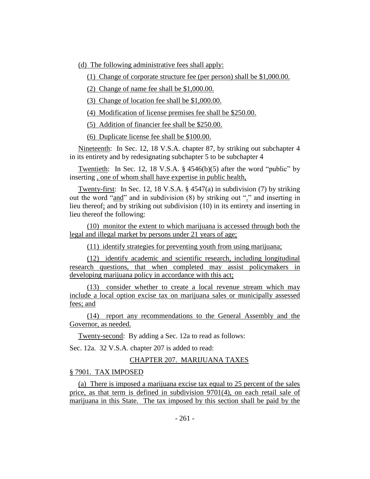(d) The following administrative fees shall apply:

(1) Change of corporate structure fee (per person) shall be \$1,000.00.

(2) Change of name fee shall be \$1,000.00.

(3) Change of location fee shall be \$1,000.00.

(4) Modification of license premises fee shall be \$250.00.

(5) Addition of financier fee shall be \$250.00.

(6) Duplicate license fee shall be \$100.00.

Nineteenth: In Sec. 12, 18 V.S.A. chapter 87, by striking out subchapter 4 in its entirety and by redesignating subchapter 5 to be subchapter 4

Twentieth: In Sec. 12, 18 V.S.A. § 4546(b)(5) after the word "public" by inserting , one of whom shall have expertise in public health,

Twenty-first: In Sec. 12, 18 V.S.A. § 4547(a) in subdivision (7) by striking out the word "and" and in subdivision (8) by striking out "." and inserting in lieu thereof; and by striking out subdivision (10) in its entirety and inserting in lieu thereof the following:

(10) monitor the extent to which marijuana is accessed through both the legal and illegal market by persons under 21 years of age;

(11) identify strategies for preventing youth from using marijuana;

(12) identify academic and scientific research, including longitudinal research questions, that when completed may assist policymakers in developing marijuana policy in accordance with this act;

(13) consider whether to create a local revenue stream which may include a local option excise tax on marijuana sales or municipally assessed fees; and

(14) report any recommendations to the General Assembly and the Governor, as needed.

Twenty-second: By adding a Sec. 12a to read as follows:

Sec. 12a. 32 V.S.A. chapter 207 is added to read:

## CHAPTER 207. MARIJUANA TAXES

§ 7901. TAX IMPOSED

(a) There is imposed a marijuana excise tax equal to 25 percent of the sales price, as that term is defined in subdivision 9701(4), on each retail sale of marijuana in this State. The tax imposed by this section shall be paid by the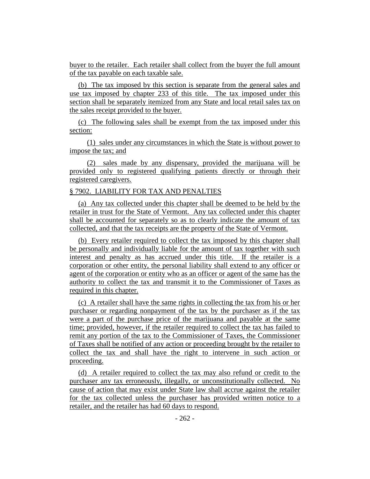buyer to the retailer. Each retailer shall collect from the buyer the full amount of the tax payable on each taxable sale.

(b) The tax imposed by this section is separate from the general sales and use tax imposed by chapter 233 of this title. The tax imposed under this section shall be separately itemized from any State and local retail sales tax on the sales receipt provided to the buyer.

(c) The following sales shall be exempt from the tax imposed under this section:

(1) sales under any circumstances in which the State is without power to impose the tax; and

(2) sales made by any dispensary, provided the marijuana will be provided only to registered qualifying patients directly or through their registered caregivers.

## § 7902. LIABILITY FOR TAX AND PENALTIES

(a) Any tax collected under this chapter shall be deemed to be held by the retailer in trust for the State of Vermont. Any tax collected under this chapter shall be accounted for separately so as to clearly indicate the amount of tax collected, and that the tax receipts are the property of the State of Vermont.

(b) Every retailer required to collect the tax imposed by this chapter shall be personally and individually liable for the amount of tax together with such interest and penalty as has accrued under this title. If the retailer is a corporation or other entity, the personal liability shall extend to any officer or agent of the corporation or entity who as an officer or agent of the same has the authority to collect the tax and transmit it to the Commissioner of Taxes as required in this chapter.

(c) A retailer shall have the same rights in collecting the tax from his or her purchaser or regarding nonpayment of the tax by the purchaser as if the tax were a part of the purchase price of the marijuana and payable at the same time; provided, however, if the retailer required to collect the tax has failed to remit any portion of the tax to the Commissioner of Taxes, the Commissioner of Taxes shall be notified of any action or proceeding brought by the retailer to collect the tax and shall have the right to intervene in such action or proceeding.

(d) A retailer required to collect the tax may also refund or credit to the purchaser any tax erroneously, illegally, or unconstitutionally collected. No cause of action that may exist under State law shall accrue against the retailer for the tax collected unless the purchaser has provided written notice to a retailer, and the retailer has had 60 days to respond.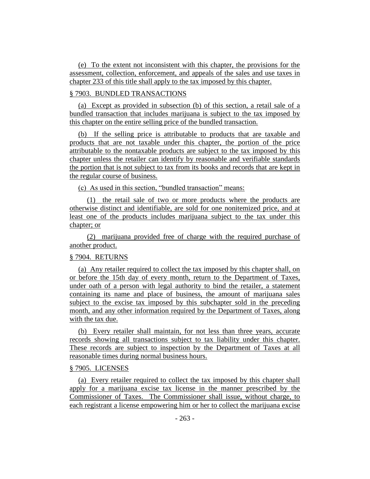(e) To the extent not inconsistent with this chapter, the provisions for the assessment, collection, enforcement, and appeals of the sales and use taxes in chapter 233 of this title shall apply to the tax imposed by this chapter.

# § 7903. BUNDLED TRANSACTIONS

(a) Except as provided in subsection (b) of this section, a retail sale of a bundled transaction that includes marijuana is subject to the tax imposed by this chapter on the entire selling price of the bundled transaction.

(b) If the selling price is attributable to products that are taxable and products that are not taxable under this chapter, the portion of the price attributable to the nontaxable products are subject to the tax imposed by this chapter unless the retailer can identify by reasonable and verifiable standards the portion that is not subject to tax from its books and records that are kept in the regular course of business.

(c) As used in this section, "bundled transaction" means:

(1) the retail sale of two or more products where the products are otherwise distinct and identifiable, are sold for one nonitemized price, and at least one of the products includes marijuana subject to the tax under this chapter; or

(2) marijuana provided free of charge with the required purchase of another product.

#### § 7904. RETURNS

(a) Any retailer required to collect the tax imposed by this chapter shall, on or before the 15th day of every month, return to the Department of Taxes, under oath of a person with legal authority to bind the retailer, a statement containing its name and place of business, the amount of marijuana sales subject to the excise tax imposed by this subchapter sold in the preceding month, and any other information required by the Department of Taxes, along with the tax due.

(b) Every retailer shall maintain, for not less than three years, accurate records showing all transactions subject to tax liability under this chapter. These records are subject to inspection by the Department of Taxes at all reasonable times during normal business hours.

### § 7905. LICENSES

(a) Every retailer required to collect the tax imposed by this chapter shall apply for a marijuana excise tax license in the manner prescribed by the Commissioner of Taxes. The Commissioner shall issue, without charge, to each registrant a license empowering him or her to collect the marijuana excise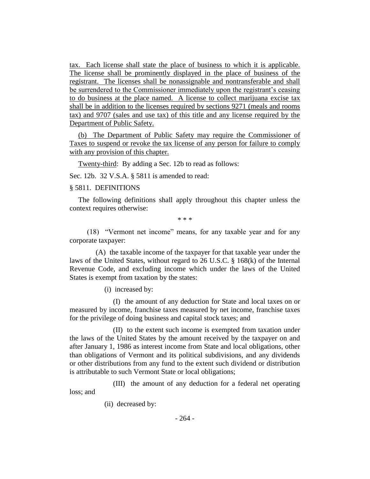tax. Each license shall state the place of business to which it is applicable. The license shall be prominently displayed in the place of business of the registrant. The licenses shall be nonassignable and nontransferable and shall be surrendered to the Commissioner immediately upon the registrant's ceasing to do business at the place named. A license to collect marijuana excise tax shall be in addition to the licenses required by sections 9271 (meals and rooms tax) and 9707 (sales and use tax) of this title and any license required by the Department of Public Safety.

(b) The Department of Public Safety may require the Commissioner of Taxes to suspend or revoke the tax license of any person for failure to comply with any provision of this chapter.

Twenty-third: By adding a Sec. 12b to read as follows:

Sec. 12b. 32 V.S.A. § 5811 is amended to read:

## § 5811. DEFINITIONS

The following definitions shall apply throughout this chapter unless the context requires otherwise:

\* \* \*

(18) "Vermont net income" means, for any taxable year and for any corporate taxpayer:

(A) the taxable income of the taxpayer for that taxable year under the laws of the United States, without regard to 26 U.S.C. § 168(k) of the Internal Revenue Code, and excluding income which under the laws of the United States is exempt from taxation by the states:

(i) increased by:

(I) the amount of any deduction for State and local taxes on or measured by income, franchise taxes measured by net income, franchise taxes for the privilege of doing business and capital stock taxes; and

(II) to the extent such income is exempted from taxation under the laws of the United States by the amount received by the taxpayer on and after January 1, 1986 as interest income from State and local obligations, other than obligations of Vermont and its political subdivisions, and any dividends or other distributions from any fund to the extent such dividend or distribution is attributable to such Vermont State or local obligations;

(III) the amount of any deduction for a federal net operating loss; and

(ii) decreased by: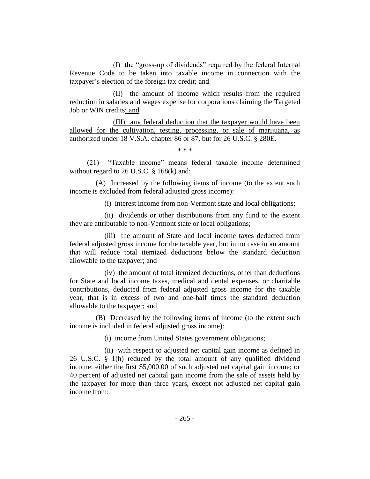(I) the "gross-up of dividends" required by the federal Internal Revenue Code to be taken into taxable income in connection with the taxpayer's election of the foreign tax credit; and

(II) the amount of income which results from the required reduction in salaries and wages expense for corporations claiming the Targeted Job or WIN credits; and

(III) any federal deduction that the taxpayer would have been allowed for the cultivation, testing, processing, or sale of marijuana, as authorized under 18 V.S.A. chapter 86 or 87, but for 26 U.S.C. § 280E.

\* \* \*

(21) "Taxable income" means federal taxable income determined without regard to 26 U.S.C. § 168(k) and:

(A) Increased by the following items of income (to the extent such income is excluded from federal adjusted gross income):

(i) interest income from non-Vermont state and local obligations;

(ii) dividends or other distributions from any fund to the extent they are attributable to non-Vermont state or local obligations;

(iii) the amount of State and local income taxes deducted from federal adjusted gross income for the taxable year, but in no case in an amount that will reduce total itemized deductions below the standard deduction allowable to the taxpayer; and

(iv) the amount of total itemized deductions, other than deductions for State and local income taxes, medical and dental expenses, or charitable contributions, deducted from federal adjusted gross income for the taxable year, that is in excess of two and one-half times the standard deduction allowable to the taxpayer; and

(B) Decreased by the following items of income (to the extent such income is included in federal adjusted gross income):

(i) income from United States government obligations;

(ii) with respect to adjusted net capital gain income as defined in 26 U.S.C. § 1(h) reduced by the total amount of any qualified dividend income: either the first \$5,000.00 of such adjusted net capital gain income; or 40 percent of adjusted net capital gain income from the sale of assets held by the taxpayer for more than three years, except not adjusted net capital gain income from: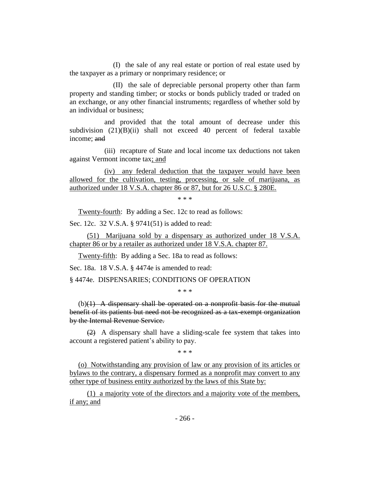(I) the sale of any real estate or portion of real estate used by the taxpayer as a primary or nonprimary residence; or

(II) the sale of depreciable personal property other than farm property and standing timber; or stocks or bonds publicly traded or traded on an exchange, or any other financial instruments; regardless of whether sold by an individual or business;

and provided that the total amount of decrease under this subdivision (21)(B)(ii) shall not exceed 40 percent of federal taxable income; and

(iii) recapture of State and local income tax deductions not taken against Vermont income tax; and

(iv) any federal deduction that the taxpayer would have been allowed for the cultivation, testing, processing, or sale of marijuana, as authorized under 18 V.S.A. chapter 86 or 87, but for 26 U.S.C. § 280E.

\* \* \*

Twenty-fourth: By adding a Sec. 12c to read as follows:

Sec. 12c. 32 V.S.A. § 9741(51) is added to read:

(51) Marijuana sold by a dispensary as authorized under 18 V.S.A. chapter 86 or by a retailer as authorized under 18 V.S.A. chapter 87.

Twenty-fifth: By adding a Sec. 18a to read as follows:

Sec. 18a. 18 V.S.A. § 4474e is amended to read:

§ 4474e. DISPENSARIES; CONDITIONS OF OPERATION

\* \* \*

 $(b)(1)$  A dispensary shall be operated on a nonprofit basis for the mutual benefit of its patients but need not be recognized as a tax-exempt organization by the Internal Revenue Service.

(2) A dispensary shall have a sliding-scale fee system that takes into account a registered patient's ability to pay.

\* \* \*

(o) Notwithstanding any provision of law or any provision of its articles or bylaws to the contrary, a dispensary formed as a nonprofit may convert to any other type of business entity authorized by the laws of this State by:

(1) a majority vote of the directors and a majority vote of the members, if any; and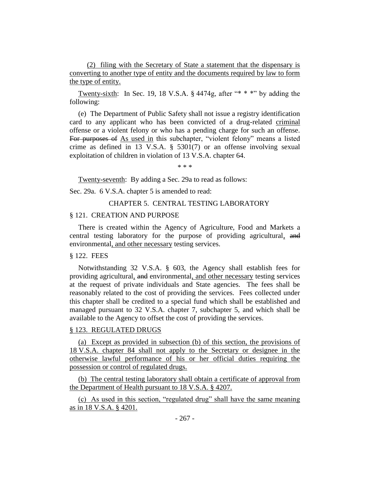(2) filing with the Secretary of State a statement that the dispensary is converting to another type of entity and the documents required by law to form the type of entity.

Twenty-sixth: In Sec. 19, 18 V.S.A.  $\S$  4474g, after "\* \* \*" by adding the following:

(e) The Department of Public Safety shall not issue a registry identification card to any applicant who has been convicted of a drug-related criminal offense or a violent felony or who has a pending charge for such an offense. For purposes of As used in this subchapter, "violent felony" means a listed crime as defined in 13 V.S.A. § 5301(7) or an offense involving sexual exploitation of children in violation of 13 V.S.A. chapter 64.

\* \* \*

Twenty-seventh: By adding a Sec. 29a to read as follows:

Sec. 29a. 6 V.S.A. chapter 5 is amended to read:

#### CHAPTER 5. CENTRAL TESTING LABORATORY

#### § 121. CREATION AND PURPOSE

There is created within the Agency of Agriculture, Food and Markets a central testing laboratory for the purpose of providing agricultural, and environmental, and other necessary testing services.

### § 122. FEES

Notwithstanding 32 V.S.A. § 603, the Agency shall establish fees for providing agricultural, and environmental, and other necessary testing services at the request of private individuals and State agencies. The fees shall be reasonably related to the cost of providing the services. Fees collected under this chapter shall be credited to a special fund which shall be established and managed pursuant to 32 V.S.A. chapter 7, subchapter 5, and which shall be available to the Agency to offset the cost of providing the services.

### § 123. REGULATED DRUGS

(a) Except as provided in subsection (b) of this section, the provisions of 18 V.S.A. chapter 84 shall not apply to the Secretary or designee in the otherwise lawful performance of his or her official duties requiring the possession or control of regulated drugs.

(b) The central testing laboratory shall obtain a certificate of approval from the Department of Health pursuant to 18 V.S.A. § 4207.

(c) As used in this section, "regulated drug" shall have the same meaning as in 18 V.S.A. § 4201.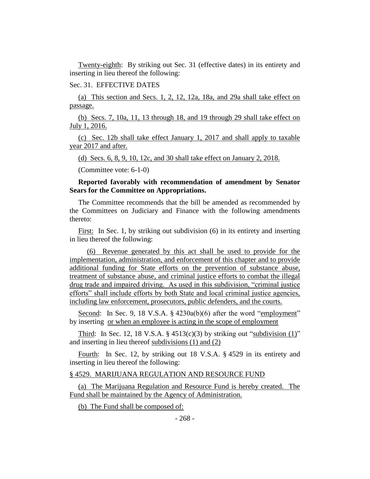Twenty-eighth: By striking out Sec. 31 (effective dates) in its entirety and inserting in lieu thereof the following:

#### Sec. 31. EFFECTIVE DATES

(a) This section and Secs. 1, 2, 12, 12a, 18a, and 29a shall take effect on passage.

(b) Secs. 7, 10a, 11, 13 through 18, and 19 through 29 shall take effect on July 1, 2016.

(c) Sec. 12b shall take effect January 1, 2017 and shall apply to taxable year 2017 and after.

(d) Secs. 6, 8, 9, 10, 12c, and 30 shall take effect on January 2, 2018.

(Committee vote: 6-1-0)

## **Reported favorably with recommendation of amendment by Senator Sears for the Committee on Appropriations.**

The Committee recommends that the bill be amended as recommended by the Committees on Judiciary and Finance with the following amendments thereto:

First: In Sec. 1, by striking out subdivision (6) in its entirety and inserting in lieu thereof the following:

(6) Revenue generated by this act shall be used to provide for the implementation, administration, and enforcement of this chapter and to provide additional funding for State efforts on the prevention of substance abuse, treatment of substance abuse, and criminal justice efforts to combat the illegal drug trade and impaired driving. As used in this subdivision, "criminal justice efforts" shall include efforts by both State and local criminal justice agencies, including law enforcement, prosecutors, public defenders, and the courts.

Second: In Sec. 9, 18 V.S.A. § 4230a(b)(6) after the word "employment" by inserting or when an employee is acting in the scope of employment

Third: In Sec. 12, 18 V.S.A.  $\S$  4513(c)(3) by striking out "subdivision (1)" and inserting in lieu thereof subdivisions (1) and (2)

Fourth: In Sec. 12, by striking out 18 V.S.A. § 4529 in its entirety and inserting in lieu thereof the following:

#### § 4529. MARIJUANA REGULATION AND RESOURCE FUND

(a) The Marijuana Regulation and Resource Fund is hereby created. The Fund shall be maintained by the Agency of Administration.

(b) The Fund shall be composed of: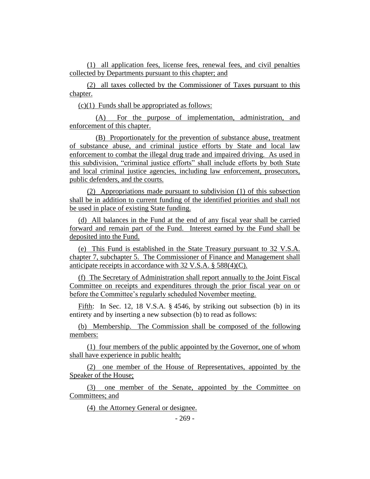(1) all application fees, license fees, renewal fees, and civil penalties collected by Departments pursuant to this chapter; and

(2) all taxes collected by the Commissioner of Taxes pursuant to this chapter.

 $(c)(1)$  Funds shall be appropriated as follows:

(A) For the purpose of implementation, administration, and enforcement of this chapter.

(B) Proportionately for the prevention of substance abuse, treatment of substance abuse, and criminal justice efforts by State and local law enforcement to combat the illegal drug trade and impaired driving. As used in this subdivision, "criminal justice efforts" shall include efforts by both State and local criminal justice agencies, including law enforcement, prosecutors, public defenders, and the courts.

(2) Appropriations made pursuant to subdivision (1) of this subsection shall be in addition to current funding of the identified priorities and shall not be used in place of existing State funding.

(d) All balances in the Fund at the end of any fiscal year shall be carried forward and remain part of the Fund. Interest earned by the Fund shall be deposited into the Fund.

(e) This Fund is established in the State Treasury pursuant to 32 V.S.A. chapter 7, subchapter 5. The Commissioner of Finance and Management shall anticipate receipts in accordance with 32 V.S.A. § 588(4)(C).

(f) The Secretary of Administration shall report annually to the Joint Fiscal Committee on receipts and expenditures through the prior fiscal year on or before the Committee's regularly scheduled November meeting.

Fifth: In Sec. 12, 18 V.S.A. § 4546, by striking out subsection (b) in its entirety and by inserting a new subsection (b) to read as follows:

(b) Membership. The Commission shall be composed of the following members:

(1) four members of the public appointed by the Governor, one of whom shall have experience in public health;

(2) one member of the House of Representatives, appointed by the Speaker of the House;

(3) one member of the Senate, appointed by the Committee on Committees; and

(4) the Attorney General or designee.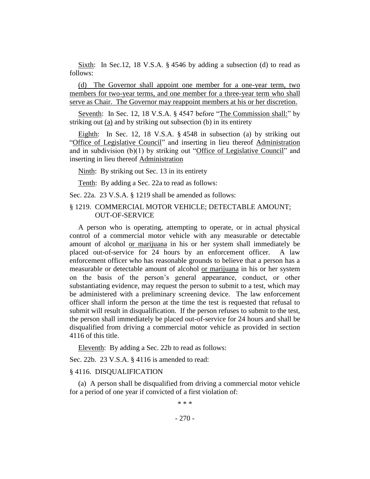Sixth: In Sec.12, 18 V.S.A. § 4546 by adding a subsection (d) to read as follows:

(d) The Governor shall appoint one member for a one-year term, two members for two-year terms, and one member for a three-year term who shall serve as Chair. The Governor may reappoint members at his or her discretion.

Seventh: In Sec. 12, 18 V.S.A. § 4547 before "The Commission shall:" by striking out (a) and by striking out subsection (b) in its entirety

Eighth: In Sec. 12, 18 V.S.A. § 4548 in subsection (a) by striking out "Office of Legislative Council" and inserting in lieu thereof Administration and in subdivision (b)(1) by striking out "Office of Legislative Council" and inserting in lieu thereof Administration

Ninth: By striking out Sec. 13 in its entirety

Tenth: By adding a Sec. 22a to read as follows:

Sec. 22a. 23 V.S.A. § 1219 shall be amended as follows:

## § 1219. COMMERCIAL MOTOR VEHICLE; DETECTABLE AMOUNT; OUT-OF-SERVICE

A person who is operating, attempting to operate, or in actual physical control of a commercial motor vehicle with any measurable or detectable amount of alcohol or marijuana in his or her system shall immediately be placed out-of-service for 24 hours by an enforcement officer. A law enforcement officer who has reasonable grounds to believe that a person has a measurable or detectable amount of alcohol or marijuana in his or her system on the basis of the person's general appearance, conduct, or other substantiating evidence, may request the person to submit to a test, which may be administered with a preliminary screening device. The law enforcement officer shall inform the person at the time the test is requested that refusal to submit will result in disqualification. If the person refuses to submit to the test, the person shall immediately be placed out-of-service for 24 hours and shall be disqualified from driving a commercial motor vehicle as provided in section 4116 of this title.

Eleventh: By adding a Sec. 22b to read as follows:

Sec. 22b. 23 V.S.A. § 4116 is amended to read:

#### § 4116. DISQUALIFICATION

(a) A person shall be disqualified from driving a commercial motor vehicle for a period of one year if convicted of a first violation of:

\* \* \*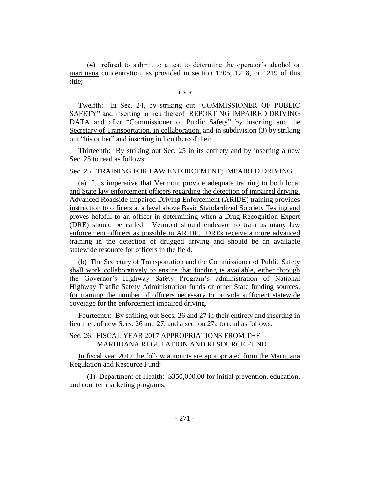(4) refusal to submit to a test to determine the operator's alcohol or marijuana concentration, as provided in section 1205, 1218, or 1219 of this title;

\* \* \*

Twelfth: In Sec. 24, by striking out "COMMISSIONER OF PUBLIC SAFETY" and inserting in lieu thereof REPORTING IMPAIRED DRIVING DATA and after "Commissioner of Public Safety" by inserting and the Secretary of Transportation, in collaboration, and in subdivision (3) by striking out "his or her" and inserting in lieu thereof their

Thirteenth: By striking out Sec. 25 in its entirety and by inserting a new Sec. 25 to read as follows:

## Sec. 25. TRAINING FOR LAW ENFORCEMENT; IMPAIRED DRIVING

(a) It is imperative that Vermont provide adequate training to both local and State law enforcement officers regarding the detection of impaired driving. Advanced Roadside Impaired Driving Enforcement (ARIDE) training provides instruction to officers at a level above Basic Standardized Sobriety Testing and proves helpful to an officer in determining when a Drug Recognition Expert (DRE) should be called. Vermont should endeavor to train as many law enforcement officers as possible in ARIDE. DREs receive a more advanced training in the detection of drugged driving and should be an available statewide resource for officers in the field.

(b) The Secretary of Transportation and the Commissioner of Public Safety shall work collaboratively to ensure that funding is available, either through the Governor's Highway Safety Program's administration of National Highway Traffic Safety Administration funds or other State funding sources, for training the number of officers necessary to provide sufficient statewide coverage for the enforcement impaired driving.

Fourteenth: By striking out Secs. 26 and 27 in their entirety and inserting in lieu thereof new Secs. 26 and 27, and a section 27a to read as follows:

# Sec. 26. FISCAL YEAR 2017 APPROPRIATIONS FROM THE MARIJUANA REGULATION AND RESOURCE FUND

In fiscal year 2017 the follow amounts are appropriated from the Marijuana Regulation and Resource Fund:

(1) Department of Health: \$350,000.00 for initial prevention, education, and counter marketing programs.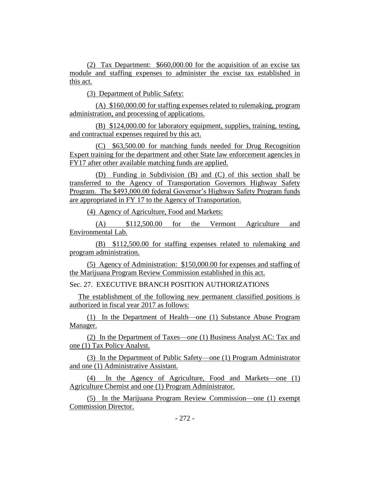(2) Tax Department: \$660,000.00 for the acquisition of an excise tax module and staffing expenses to administer the excise tax established in this act.

(3) Department of Public Safety:

(A) \$160,000.00 for staffing expenses related to rulemaking, program administration, and processing of applications.

(B) \$124,000.00 for laboratory equipment, supplies, training, testing, and contractual expenses required by this act.

(C) \$63,500.00 for matching funds needed for Drug Recognition Expert training for the department and other State law enforcement agencies in FY17 after other available matching funds are applied.

(D) Funding in Subdivision (B) and (C) of this section shall be transferred to the Agency of Transportation Governors Highway Safety Program. The \$493,000.00 federal Governor's Highway Safety Program funds are appropriated in FY 17 to the Agency of Transportation.

(4) Agency of Agriculture, Food and Markets:

(A) \$112,500.00 for the Vermont Agriculture and Environmental Lab.

(B) \$112,500.00 for staffing expenses related to rulemaking and program administration.

(5) Agency of Administration: \$150,000.00 for expenses and staffing of the Marijuana Program Review Commission established in this act.

Sec. 27. EXECUTIVE BRANCH POSITION AUTHORIZATIONS

The establishment of the following new permanent classified positions is authorized in fiscal year 2017 as follows:

(1) In the Department of Health—one (1) Substance Abuse Program Manager.

(2) In the Department of Taxes—one (1) Business Analyst AC: Tax and one (1) Tax Policy Analyst.

(3) In the Department of Public Safety—one (1) Program Administrator and one (1) Administrative Assistant.

(4) In the Agency of Agriculture, Food and Markets—one (1) Agriculture Chemist and one (1) Program Administrator.

(5) In the Marijuana Program Review Commission—one (1) exempt Commission Director.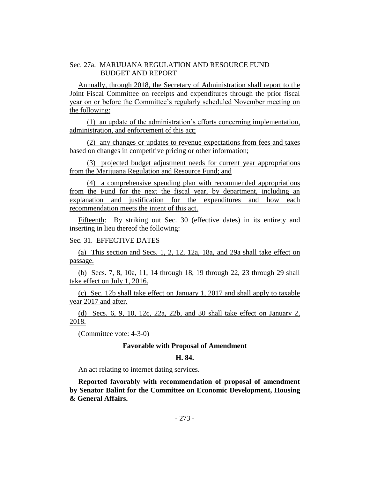## Sec. 27a. MARIJUANA REGULATION AND RESOURCE FUND BUDGET AND REPORT

Annually, through 2018, the Secretary of Administration shall report to the Joint Fiscal Committee on receipts and expenditures through the prior fiscal year on or before the Committee's regularly scheduled November meeting on the following:

(1) an update of the administration's efforts concerning implementation, administration, and enforcement of this act;

(2) any changes or updates to revenue expectations from fees and taxes based on changes in competitive pricing or other information;

(3) projected budget adjustment needs for current year appropriations from the Marijuana Regulation and Resource Fund; and

(4) a comprehensive spending plan with recommended appropriations from the Fund for the next the fiscal year, by department, including an explanation and justification for the expenditures and how each recommendation meets the intent of this act.

Fifteenth: By striking out Sec. 30 (effective dates) in its entirety and inserting in lieu thereof the following:

# Sec. 31. EFFECTIVE DATES

(a) This section and Secs. 1, 2, 12, 12a, 18a, and 29a shall take effect on passage.

(b) Secs. 7, 8, 10a, 11, 14 through 18, 19 through 22, 23 through 29 shall take effect on July 1, 2016.

(c) Sec. 12b shall take effect on January 1, 2017 and shall apply to taxable year 2017 and after.

(d) Secs. 6, 9, 10, 12c, 22a, 22b, and 30 shall take effect on January 2, 2018.

(Committee vote: 4-3-0)

### **Favorable with Proposal of Amendment**

#### **H. 84.**

An act relating to internet dating services.

**Reported favorably with recommendation of proposal of amendment by Senator Balint for the Committee on Economic Development, Housing & General Affairs.**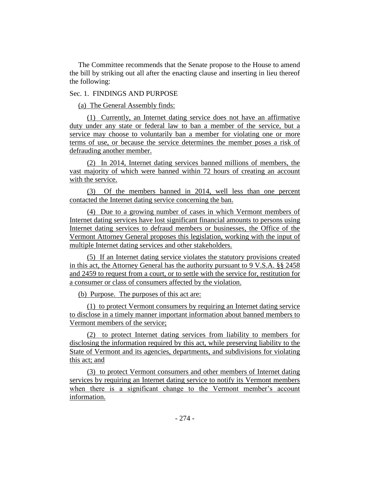The Committee recommends that the Senate propose to the House to amend the bill by striking out all after the enacting clause and inserting in lieu thereof the following:

# Sec. 1. FINDINGS AND PURPOSE

(a) The General Assembly finds:

(1) Currently, an Internet dating service does not have an affirmative duty under any state or federal law to ban a member of the service, but a service may choose to voluntarily ban a member for violating one or more terms of use, or because the service determines the member poses a risk of defrauding another member.

(2) In 2014, Internet dating services banned millions of members, the vast majority of which were banned within 72 hours of creating an account with the service.

(3) Of the members banned in 2014, well less than one percent contacted the Internet dating service concerning the ban.

(4) Due to a growing number of cases in which Vermont members of Internet dating services have lost significant financial amounts to persons using Internet dating services to defraud members or businesses, the Office of the Vermont Attorney General proposes this legislation, working with the input of multiple Internet dating services and other stakeholders.

(5) If an Internet dating service violates the statutory provisions created in this act, the Attorney General has the authority pursuant to 9 V.S.A. §§ 2458 and 2459 to request from a court, or to settle with the service for, restitution for a consumer or class of consumers affected by the violation.

(b) Purpose. The purposes of this act are:

(1) to protect Vermont consumers by requiring an Internet dating service to disclose in a timely manner important information about banned members to Vermont members of the service;

(2) to protect Internet dating services from liability to members for disclosing the information required by this act, while preserving liability to the State of Vermont and its agencies, departments, and subdivisions for violating this act; and

(3) to protect Vermont consumers and other members of Internet dating services by requiring an Internet dating service to notify its Vermont members when there is a significant change to the Vermont member's account information.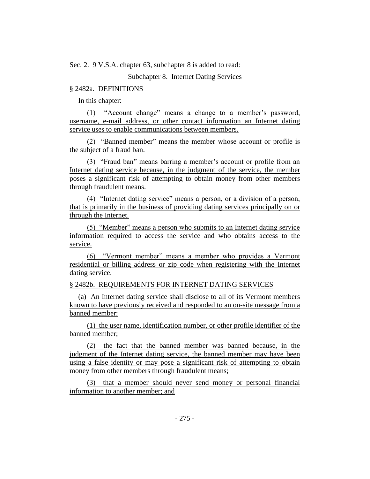Sec. 2. 9 V.S.A. chapter 63, subchapter 8 is added to read:

# Subchapter 8. Internet Dating Services

## § 2482a. DEFINITIONS

In this chapter:

(1) "Account change" means a change to a member's password, username, e-mail address, or other contact information an Internet dating service uses to enable communications between members.

(2) "Banned member" means the member whose account or profile is the subject of a fraud ban.

(3) "Fraud ban" means barring a member's account or profile from an Internet dating service because, in the judgment of the service, the member poses a significant risk of attempting to obtain money from other members through fraudulent means.

(4) "Internet dating service" means a person, or a division of a person, that is primarily in the business of providing dating services principally on or through the Internet.

(5) "Member" means a person who submits to an Internet dating service information required to access the service and who obtains access to the service.

(6) "Vermont member" means a member who provides a Vermont residential or billing address or zip code when registering with the Internet dating service.

## § 2482b. REQUIREMENTS FOR INTERNET DATING SERVICES

(a) An Internet dating service shall disclose to all of its Vermont members known to have previously received and responded to an on-site message from a banned member:

(1) the user name, identification number, or other profile identifier of the banned member;

(2) the fact that the banned member was banned because, in the judgment of the Internet dating service, the banned member may have been using a false identity or may pose a significant risk of attempting to obtain money from other members through fraudulent means;

(3) that a member should never send money or personal financial information to another member; and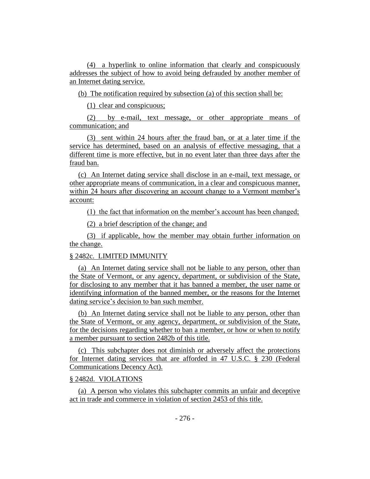(4) a hyperlink to online information that clearly and conspicuously addresses the subject of how to avoid being defrauded by another member of an Internet dating service.

(b) The notification required by subsection (a) of this section shall be:

(1) clear and conspicuous;

(2) by e-mail, text message, or other appropriate means of communication; and

(3) sent within 24 hours after the fraud ban, or at a later time if the service has determined, based on an analysis of effective messaging, that a different time is more effective, but in no event later than three days after the fraud ban.

(c) An Internet dating service shall disclose in an e-mail, text message, or other appropriate means of communication, in a clear and conspicuous manner, within 24 hours after discovering an account change to a Vermont member's account:

(1) the fact that information on the member's account has been changed;

(2) a brief description of the change; and

(3) if applicable, how the member may obtain further information on the change.

## § 2482c. LIMITED IMMUNITY

(a) An Internet dating service shall not be liable to any person, other than the State of Vermont, or any agency, department, or subdivision of the State, for disclosing to any member that it has banned a member, the user name or identifying information of the banned member, or the reasons for the Internet dating service's decision to ban such member.

(b) An Internet dating service shall not be liable to any person, other than the State of Vermont, or any agency, department, or subdivision of the State, for the decisions regarding whether to ban a member, or how or when to notify a member pursuant to section 2482b of this title.

(c) This subchapter does not diminish or adversely affect the protections for Internet dating services that are afforded in 47 U.S.C. § 230 (Federal Communications Decency Act).

# § 2482d. VIOLATIONS

(a) A person who violates this subchapter commits an unfair and deceptive act in trade and commerce in violation of section 2453 of this title.